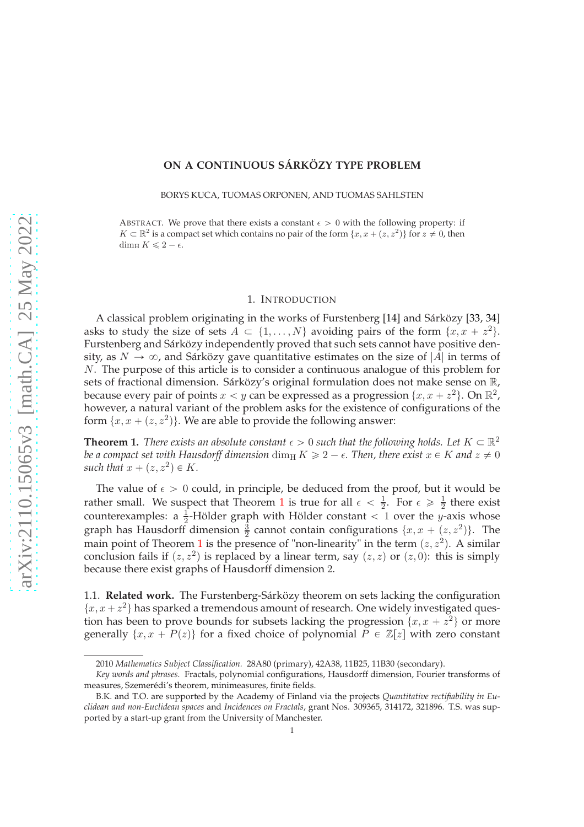# **ON A CONTINUOUS SÁRKÖZY TYPE PROBLEM**

BORYS KUCA, TUOMAS ORPONEN, AND TUOMAS SAHLSTEN

ABSTRACT. We prove that there exists a constant  $\epsilon > 0$  with the following property: if  $K \subset \mathbb{R}^2$  is a compact set which contains no pair of the form  $\{x, x + (z, z^2)\}$  for  $z \neq 0$ , then dim<sub>H</sub>  $K \leq 2 - \epsilon$ .

### 1. INTRODUCTION

A classical problem originating in the works of Furstenberg [\[14\]](#page-16-0) and Sárközy [\[33,](#page-16-1) [34\]](#page-16-2) asks to study the size of sets  $A \subset \{1, ..., N\}$  avoiding pairs of the form  $\{x, x + z^2\}$ . Furstenberg and Sárközy independently proved that such sets cannot have positive density, as  $N \to \infty$ , and Sárközy gave quantitative estimates on the size of |A| in terms of N. The purpose of this article is to consider a continuous analogue of this problem for sets of fractional dimension. Sárközy's original formulation does not make sense on R, because every pair of points  $x < y$  can be expressed as a progression  $\{x, x + z^2\}$ . On  $\mathbb{R}^2$ , however, a natural variant of the problem asks for the existence of configurations of the form  $\{x, x + (z, z^2)\}\)$ . We are able to provide the following answer:

<span id="page-0-0"></span>**Theorem 1.** *There exists an absolute constant*  $\epsilon > 0$  *such that the following holds. Let*  $K \subset \mathbb{R}^2$ *be a compact set with Hausdorff dimension* dim<sub>H</sub>  $K \geq 2 - \epsilon$ . Then, there exist  $x \in K$  and  $z \neq 0$ such that  $x + (z, z^2) \in K$ .

The value of  $\epsilon > 0$  could, in principle, be deduced from the proof, but it would be rather small. We suspect that Theorem [1](#page-0-0) is true for all  $\epsilon < \frac{1}{2}$  $\frac{1}{2}$ . For  $\epsilon \geqslant \frac{1}{2}$  $\frac{1}{2}$  there exist counterexamples: a  $\frac{1}{2}$ -Hölder graph with Hölder constant  $\lt$  1 over the y-axis whose graph has Hausdorff dimension  $\frac{3}{2}$  cannot contain configurations  $\{x, x + (z, z^2)\}$ . The main point of Theorem [1](#page-0-0) is the presence of "non-linearity" in the term  $(z, z^2)$ . A similar conclusion fails if  $(z, z^2)$  is replaced by a linear term, say  $(z, z)$  or  $(z, 0)$ : this is simply because there exist graphs of Hausdorff dimension 2.

1.1. **Related work.** The Furstenberg-Sárközy theorem on sets lacking the configuration  ${x, x + z^2}$  has sparked a tremendous amount of research. One widely investigated question has been to prove bounds for subsets lacking the progression  $\{x, x + z^2\}$  or more generally  $\{x, x + P(z)\}\$  for a fixed choice of polynomial  $P \in \mathbb{Z}[z]$  with zero constant

<sup>2010</sup> *Mathematics Subject Classification.* 28A80 (primary), 42A38, 11B25, 11B30 (secondary).

*Key words and phrases.* Fractals, polynomial configurations, Hausdorff dimension, Fourier transforms of measures, Szemerédi's theorem, minimeasures, finite fields.

B.K. and T.O. are supported by the Academy of Finland via the projects *Quantitative rectifiability in Euclidean and non-Euclidean spaces* and *Incidences on Fractals*, grant Nos. 309365, 314172, 321896. T.S. was supported by a start-up grant from the University of Manchester.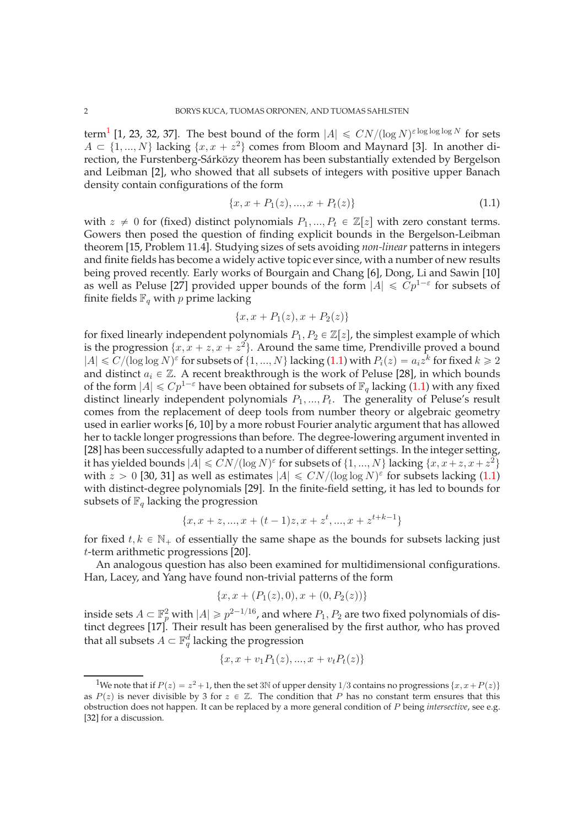term<sup>[1](#page-1-0)</sup> [\[1,](#page-15-0) [23,](#page-16-3) [32,](#page-16-4) [37\]](#page-17-0). The best bound of the form  $|A| \le CN/(\log N)^{\varepsilon \log \log N}$  for sets  $A \subset \{1, ..., N\}$  lacking  $\{x, x + z^2\}$  comes from Bloom and Maynard [\[3\]](#page-15-1). In another direction, the Furstenberg-Sárközy theorem has been substantially extended by Bergelson and Leibman [\[2\]](#page-15-2), who showed that all subsets of integers with positive upper Banach density contain configurations of the form

<span id="page-1-1"></span>
$$
\{x, x + P_1(z), ..., x + P_t(z)\}\tag{1.1}
$$

with  $z \neq 0$  for (fixed) distinct polynomials  $P_1, ..., P_t \in \mathbb{Z}[z]$  with zero constant terms. Gowers then posed the question of finding explicit bounds in the Bergelson-Leibman theorem [\[15,](#page-16-5) Problem 11.4]. Studying sizes of sets avoiding *non-linear* patterns in integers and finite fields has become a widely active topic ever since, with a number of new results being proved recently. Early works of Bourgain and Chang [\[6\]](#page-15-3), Dong, Li and Sawin [\[10\]](#page-16-6) as well as Peluse [\[27\]](#page-16-7) provided upper bounds of the form  $|A| \leq Cp^{1-\epsilon}$  for subsets of finite fields  $\mathbb{F}_q$  with p prime lacking

$$
\{x, x + P_1(z), x + P_2(z)\}\
$$

for fixed linearly independent polynomials  $P_1, P_2 \in \mathbb{Z}[z]$ , the simplest example of which is the progression  $\{x, x + z, x + z^2\}$ . Around the same time, Prendiville proved a bound  $|A| \le C/(\log \log N)^{\varepsilon}$  for subsets of  $\{1, ..., N\}$  lacking  $(1.1)$  with  $P_i(z) = a_i z^k$  for fixed  $k \ge 2$ and distinct  $a_i \in \mathbb{Z}$ . A recent breakthrough is the work of Peluse [\[28\]](#page-16-8), in which bounds of the form  $|A| \leq C p^{1-\epsilon}$  have been obtained for subsets of  $\mathbb{F}_q$  lacking [\(1.1\)](#page-1-1) with any fixed distinct linearly independent polynomials  $P_1, ..., P_t$ . The generality of Peluse's result comes from the replacement of deep tools from number theory or algebraic geometry used in earlier works [\[6,](#page-15-3) [10\]](#page-16-6) by a more robust Fourier analytic argument that has allowed her to tackle longer progressions than before. The degree-lowering argument invented in [\[28\]](#page-16-8) has been successfully adapted to a number of different settings. In the integer setting, it has yielded bounds  $|A| \le CN/(\log N)^{\varepsilon}$  for subsets of  $\{1, ..., N\}$  lacking  $\{x, x+z, x+z^2\}$ with  $z > 0$  [\[30,](#page-16-9) [31\]](#page-16-10) as well as estimates  $|A| \le CN/(\log \log N)^{\varepsilon}$  for subsets lacking [\(1.1\)](#page-1-1) with distinct-degree polynomials [\[29\]](#page-16-11). In the finite-field setting, it has led to bounds for subsets of  $\mathbb{F}_q$  lacking the progression

$$
\{x, x+z, ..., x+(t-1)z, x+z^t, ..., x+z^{t+k-1}\}
$$

for fixed  $t, k \in \mathbb{N}_+$  of essentially the same shape as the bounds for subsets lacking just t-term arithmetic progressions [\[20\]](#page-16-12).

An analogous question has also been examined for multidimensional configurations. Han, Lacey, and Yang have found non-trivial patterns of the form

$$
\{x, x + (P_1(z), 0), x + (0, P_2(z))\}
$$

inside sets  $A \subset \mathbb{F}_p^2$  with  $|A| \geq p^{2-1/16}$ , and where  $P_1, P_2$  are two fixed polynomials of distinct degrees [\[17\]](#page-16-13). Their result has been generalised by the first author, who has proved that all subsets  $A \subset \mathbb{F}_q^d$  lacking the progression

$$
\{x, x + v_1 P_1(z), ..., x + v_t P_t(z)\}
$$

<span id="page-1-0"></span><sup>&</sup>lt;sup>1</sup>We note that if  $P(z) = z^2 + 1$ , then the set 3N of upper density 1/3 contains no progressions  $\{x, x + P(z)\}$ as  $P(z)$  is never divisible by 3 for  $z \in \mathbb{Z}$ . The condition that P has no constant term ensures that this obstruction does not happen. It can be replaced by a more general condition of P being *intersective*, see e.g. [\[32\]](#page-16-4) for a discussion.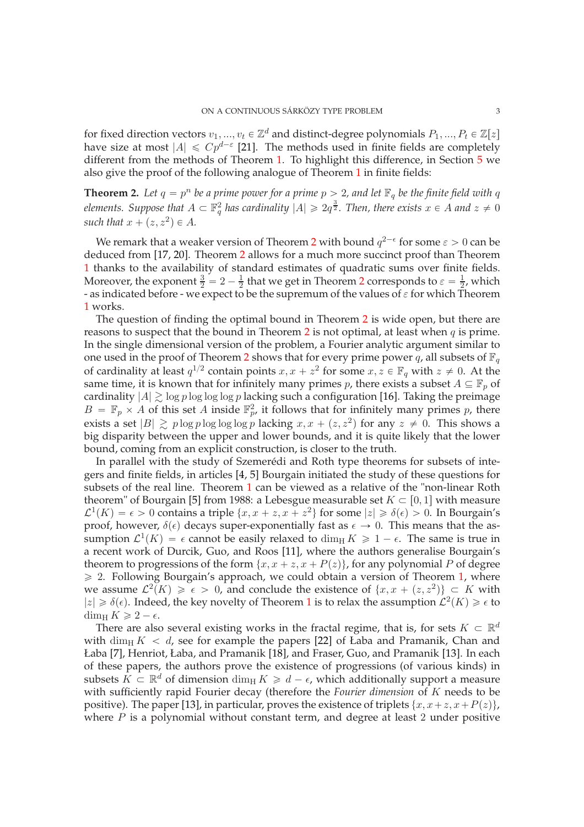for fixed direction vectors  $v_1, ..., v_t \in \mathbb{Z}^d$  and distinct-degree polynomials  $P_1, ..., P_t \in \mathbb{Z}[z]$ have size at most  $|A| \leq Cp^{d-\epsilon}$  [\[21\]](#page-16-14). The methods used in finite fields are completely different from the methods of Theorem [1.](#page-0-0) To highlight this difference, in Section [5](#page-12-0) we also give the proof of the following analogue of Theorem [1](#page-0-0) in finite fields:

<span id="page-2-0"></span>**Theorem 2.** Let  $q = p^n$  be a prime power for a prime  $p > 2$ , and let  $\mathbb{F}_q$  be the finite field with q *elements.* Suppose that  $A \subset \mathbb{F}_q^2$  has cardinality  $|A| \geqslant 2q^{\frac{3}{2}}$ . Then, there exists  $x \in A$  and  $z \neq 0$ such that  $x + (z, z^2) \in A$ .

We remark that a weaker version of Theorem [2](#page-2-0) with bound  $q^{2-\epsilon}$  for some  $\varepsilon > 0$  can be deduced from [\[17,](#page-16-13) [20\]](#page-16-12). Theorem [2](#page-2-0) allows for a much more succinct proof than Theorem [1](#page-0-0) thanks to the availability of standard estimates of quadratic sums over finite fields. Moreover, the exponent  $\frac{3}{2} = 2 - \frac{1}{2}$  $\frac{1}{2}$  $\frac{1}{2}$  $\frac{1}{2}$  that we get in Theorem 2 corresponds to  $\varepsilon = \frac{1}{2}$  $\frac{1}{2}$ , which - as indicated before - we expect to be the supremum of the values of  $\varepsilon$  for which Theorem [1](#page-0-0) works.

The question of finding the optimal bound in Theorem [2](#page-2-0) is wide open, but there are reasons to suspect that the bound in Theorem [2](#page-2-0) is not optimal, at least when  $q$  is prime. In the single dimensional version of the problem, a Fourier analytic argument similar to one used in the proof of Theorem [2](#page-2-0) shows that for every prime power q, all subsets of  $\mathbb{F}_q$ of cardinality at least  $q^{1/2}$  contain points  $x, x + z^2$  for some  $x, z \in \mathbb{F}_q$  with  $z \neq 0$ . At the same time, it is known that for infinitely many primes p, there exists a subset  $A \subseteq \mathbb{F}_p$  of cardinality  $|A| \gtrsim \log p \log \log p$  lacking such a configuration [\[16\]](#page-16-15). Taking the preimage  $B = \mathbb{F}_p \times A$  of this set A inside  $\mathbb{F}_{p'}^2$  it follows that for infinitely many primes p, there exists a set  $|B| \gtrsim p \log p \log \log p$  lacking  $x, x + (z, z^2)$  for any  $z \neq 0$ . This shows a big disparity between the upper and lower bounds, and it is quite likely that the lower bound, coming from an explicit construction, is closer to the truth.

In parallel with the study of Szemerédi and Roth type theorems for subsets of integers and finite fields, in articles [\[4,](#page-15-4) [5\]](#page-15-5) Bourgain initiated the study of these questions for subsets of the real line. Theorem [1](#page-0-0) can be viewed as a relative of the "non-linear Roth theorem" of Bourgain [\[5\]](#page-15-5) from 1988: a Lebesgue measurable set  $K \subset [0, 1]$  with measure  $\mathcal{L}^1(K) = \epsilon > 0$  contains a triple  $\{x, x + z, x + z^2\}$  for some  $|z| \geq \delta(\epsilon) > 0$ . In Bourgain's proof, however,  $\delta(\epsilon)$  decays super-exponentially fast as  $\epsilon \to 0$ . This means that the assumption  $\mathcal{L}^1(K) = \epsilon$  cannot be easily relaxed to dim<sub>H</sub>  $K \geq 1 - \epsilon$ . The same is true in a recent work of Durcik, Guo, and Roos [\[11\]](#page-16-16), where the authors generalise Bourgain's theorem to progressions of the form  $\{x, x + z, x + P(z)\}\$ , for any polynomial P of degree  $\geq$  2. Following Bourgain's approach, we could obtain a version of Theorem [1,](#page-0-0) where we assume  $\mathcal{L}^2(K) \geq \epsilon > 0$ , and conclude the existence of  $\{x, x + (z, z^2)\} \subset K$  with  $|z|\geq \delta(\epsilon).$  Indeed, the key novelty of Theorem [1](#page-0-0) is to relax the assumption  $\mathcal{L}^2(K)\geq \epsilon$  to  $\dim_{\mathrm{H}} K \geqslant 2 - \epsilon.$ 

There are also several existing works in the fractal regime, that is, for sets  $K \subset \mathbb{R}^d$ with dim<sub>H</sub>  $K < d$ , see for example the papers [\[22\]](#page-16-17) of Łaba and Pramanik, Chan and Łaba [\[7\]](#page-15-6), Henriot, Łaba, and Pramanik [\[18\]](#page-16-18), and Fraser, Guo, and Pramanik [\[13\]](#page-16-19). In each of these papers, the authors prove the existence of progressions (of various kinds) in subsets  $K \subset \mathbb{R}^d$  of dimension  $\dim_H K \geq d - \epsilon$ , which additionally support a measure with sufficiently rapid Fourier decay (therefore the *Fourier dimension* of K needs to be positive). The paper [\[13\]](#page-16-19), in particular, proves the existence of triplets  $\{x, x+z, x+P(z)\}\,$ , where  $P$  is a polynomial without constant term, and degree at least  $2$  under positive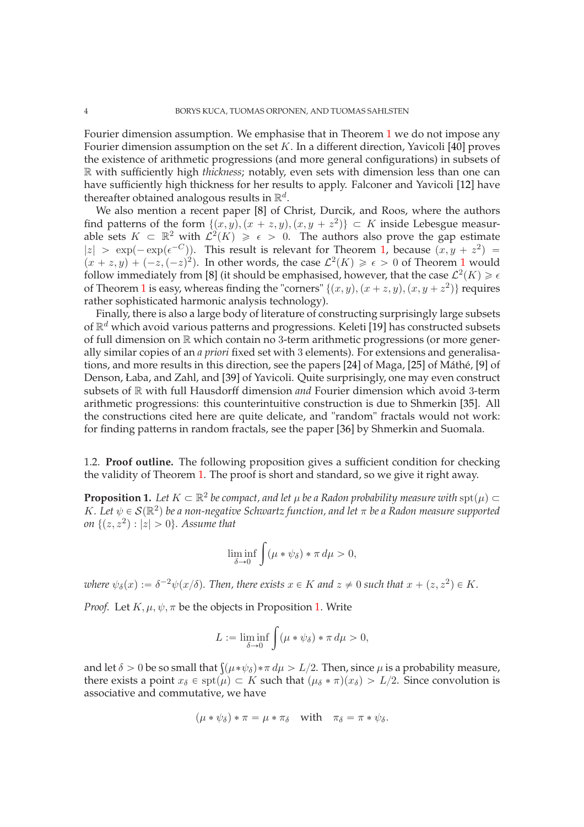Fourier dimension assumption. We emphasise that in Theorem [1](#page-0-0) we do not impose any Fourier dimension assumption on the set  $K$ . In a different direction, Yavicoli [\[40\]](#page-17-1) proves the existence of arithmetic progressions (and more general configurations) in subsets of R with sufficiently high *thickness*; notably, even sets with dimension less than one can have sufficiently high thickness for her results to apply. Falconer and Yavicoli [\[12\]](#page-16-20) have thereafter obtained analogous results in  $\mathbb{R}^d$ .

We also mention a recent paper [\[8\]](#page-16-21) of Christ, Durcik, and Roos, where the authors find patterns of the form  $\{(x, y), (x + z, y), (x, y + z^2)\} \subset K$  inside Lebesgue measurable sets  $K \subset \mathbb{R}^2$  with  $\mathcal{L}^2(K) \geq \epsilon > 0$ . The authors also prove the gap estimate  $|z| > \exp(-\exp(\epsilon^{-C}))$ . This result is relevant for Theorem [1,](#page-0-0) because  $(x, y + z^2) =$  $(x + z, y) + (-z, (-z)^2)$ . In other words, the case  $\mathcal{L}^2(K) \geq \epsilon > 0$  of Theorem [1](#page-0-0) would follow immediately from [\[8\]](#page-16-21) (it should be emphasised, however, that the case  $\mathcal{L}^2(K) \geq \epsilon$ of Theorem [1](#page-0-0) is easy, whereas finding the "corners"  $\{(x, y), (x + z, y), (x, y + z^2)\}$  requires rather sophisticated harmonic analysis technology).

Finally, there is also a large body of literature of constructing surprisingly large subsets of  $\mathbb{R}^d$  which avoid various patterns and progressions. Keleti [\[19\]](#page-16-22) has constructed subsets of full dimension on R which contain no 3-term arithmetic progressions (or more generally similar copies of an *a priori* fixed set with 3 elements). For extensions and generalisations, and more results in this direction, see the papers [\[24\]](#page-16-23) of Maga, [\[25\]](#page-16-24) of Máthé, [\[9\]](#page-16-25) of Denson, Łaba, and Zahl, and [\[39\]](#page-17-2) of Yavicoli. Quite surprisingly, one may even construct subsets of R with full Hausdorff dimension *and* Fourier dimension which avoid 3-term arithmetic progressions: this counterintuitive construction is due to Shmerkin [\[35\]](#page-16-26). All the constructions cited here are quite delicate, and "random" fractals would not work: for finding patterns in random fractals, see the paper [\[36\]](#page-16-27) by Shmerkin and Suomala.

1.2. **Proof outline.** The following proposition gives a sufficient condition for checking the validity of Theorem [1.](#page-0-0) The proof is short and standard, so we give it right away.

<span id="page-3-0"></span>**Proposition 1.** Let  $K \subset \mathbb{R}^2$  be compact, and let  $\mu$  be a Radon probability measure with  $\text{spt}(\mu) \subset$ *K*. Let  $\psi \in \mathcal{S}(\mathbb{R}^2)$  be a non-negative Schwartz function, and let  $\pi$  be a Radon measure supported *on*  $\{(z, z^2) : |z| > 0\}$ . Assume that

$$
\liminf_{\delta \to 0} \int (\mu * \psi_{\delta}) * \pi \, d\mu > 0,
$$

where  $\psi_{\delta}(x) := \delta^{-2} \psi(x/\delta)$ . Then, there exists  $x \in K$  and  $z \neq 0$  such that  $x + (z, z^2) \in K$ .

*Proof.* Let  $K, \mu, \psi, \pi$  be the objects in Proposition [1.](#page-3-0) Write

$$
L := \liminf_{\delta \to 0} \int (\mu * \psi_{\delta}) * \pi \, d\mu > 0,
$$

and let  $\delta > 0$  be so small that  $\int (\mu * \psi_{\delta}) * \pi d\mu > L/2$ . Then, since  $\mu$  is a probability measure, there exists a point  $x_{\delta} \in \text{spt}(\mu) \subset K$  such that  $(\mu_{\delta} * \pi)(x_{\delta}) > L/2$ . Since convolution is associative and commutative, we have

$$
(\mu * \psi_{\delta}) * \pi = \mu * \pi_{\delta} \quad \text{with} \quad \pi_{\delta} = \pi * \psi_{\delta}.
$$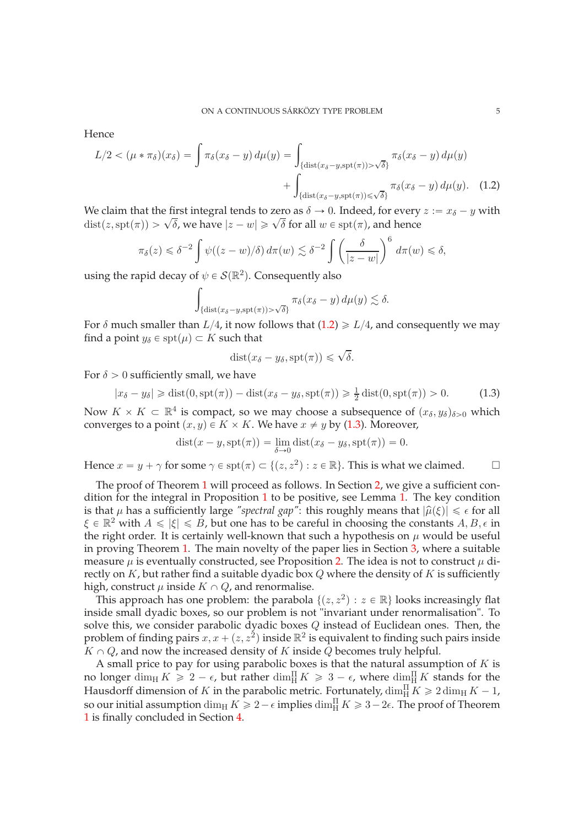Hence

$$
L/2 < (\mu * \pi_{\delta})(x_{\delta}) = \int \pi_{\delta}(x_{\delta} - y) d\mu(y) = \int_{\{\text{dist}(x_{\delta} - y, \text{spt}(\pi)) > \sqrt{\delta}\}} \pi_{\delta}(x_{\delta} - y) d\mu(y) + \int_{\{\text{dist}(x_{\delta} - y, \text{spt}(\pi)) \le \sqrt{\delta}\}} \pi_{\delta}(x_{\delta} - y) d\mu(y). \tag{1.2}
$$

We claim that the first integral tends to zero as  $\delta \to 0$ . Indeed, for every  $z := x_{\delta} - y$  with  $\det(z, \text{spt}(\pi)) > \sqrt{\delta}$ , we have  $|z - w| \ge \sqrt{\delta}$  for all  $w \in \text{spt}(\pi)$ , and hence

$$
\pi_{\delta}(z) \leq \delta^{-2} \int \psi((z-w)/\delta) d\pi(w) \lesssim \delta^{-2} \int \left(\frac{\delta}{|z-w|}\right)^6 d\pi(w) \leq \delta,
$$

using the rapid decay of  $\psi \in \mathcal{S}(\mathbb{R}^2)$ . Consequently also

$$
\int_{\{\text{dist}(x_{\delta}-y,\text{spt}(\pi))>\sqrt{\delta}\}} \pi_{\delta}(x_{\delta}-y) d\mu(y) \lesssim \delta.
$$

For  $\delta$  much smaller than  $L/4$ , it now follows that [\(1.2\)](#page-4-0)  $\geq L/4$ , and consequently we may find a point  $y_\delta \in \operatorname{spt}(\mu) \subset K$  such that

<span id="page-4-0"></span>
$$
dist(x_{\delta} - y_{\delta}, \operatorname{spt}(\pi)) \leq \sqrt{\delta}.
$$

For  $\delta > 0$  sufficiently small, we have

<span id="page-4-1"></span>
$$
|x_{\delta} - y_{\delta}| \ge \text{dist}(0, \text{spt}(\pi)) - \text{dist}(x_{\delta} - y_{\delta}, \text{spt}(\pi)) \ge \frac{1}{2}\text{dist}(0, \text{spt}(\pi)) > 0. \tag{1.3}
$$

Now  $K \times K \subset \mathbb{R}^4$  is compact, so we may choose a subsequence of  $(x_\delta, y_\delta)_{\delta>0}$  which converges to a point  $(x, y) \in K \times K$ . We have  $x \neq y$  by [\(1.3\)](#page-4-1). Moreover,

$$
dist(x - y, \operatorname{spt}(\pi)) = \lim_{\delta \to 0} dist(x_{\delta} - y_{\delta}, \operatorname{spt}(\pi)) = 0.
$$

Hence  $x = y + \gamma$  for some  $\gamma \in \text{spt}(\pi) \subset \{(z, z^2) : z \in \mathbb{R}\}$ . This is what we claimed.

The proof of Theorem [1](#page-0-0) will proceed as follows. In Section [2,](#page-5-0) we give a sufficient condition for the integral in Proposition [1](#page-3-0) to be positive, see Lemma [1.](#page-6-0) The key condition is that  $\mu$  has a sufficiently large "spectral gap": this roughly means that  $|\hat{\mu}(\xi)| \leq \epsilon$  for all  $\xi \in \mathbb{R}^2$  with  $A \leqslant |\xi| \leqslant B$ , but one has to be careful in choosing the constants  $A, B, \epsilon$  in the right order. It is certainly well-known that such a hypothesis on  $\mu$  would be useful in proving Theorem [1.](#page-0-0) The main novelty of the paper lies in Section [3,](#page-8-0) where a suitable measure  $\mu$  is eventually constructed, see Proposition [2.](#page-8-1) The idea is not to construct  $\mu$  directly on  $K$ , but rather find a suitable dyadic box  $Q$  where the density of  $K$  is sufficiently high, construct  $\mu$  inside  $K \cap Q$ , and renormalise.

This approach has one problem: the parabola  $\{(z, z^2) : z \in \mathbb{R}\}$  looks increasingly flat inside small dyadic boxes, so our problem is not "invariant under renormalisation". To solve this, we consider parabolic dyadic boxes  $Q$  instead of Euclidean ones. Then, the problem of finding pairs  $x, x + (z, z^2)$  inside  $\mathbb{R}^2$  is equivalent to finding such pairs inside  $K \cap Q$ , and now the increased density of K inside Q becomes truly helpful.

A small price to pay for using parabolic boxes is that the natural assumption of  $K$  is no longer  $\dim_{\mathrm{H}} K \geqslant 2 - \epsilon$ , but rather  $\dim_{\mathrm{H}}^{\Pi} K \geqslant 3 - \epsilon$ , where  $\dim_{\mathrm{H}}^{\Pi} K$  stands for the Hausdorff dimension of K in the parabolic metric. Fortunately,  $\dim_{\rm H} K \geq 2 \dim_{\rm H} K - 1$ , so our initial assumption  $\dim_{\rm H} K \geqslant 2-\epsilon$  implies  $\dim_{\rm H} K \geqslant 3-2\epsilon$ . The proof of Theorem [1](#page-0-0) is finally concluded in Section [4.](#page-12-1)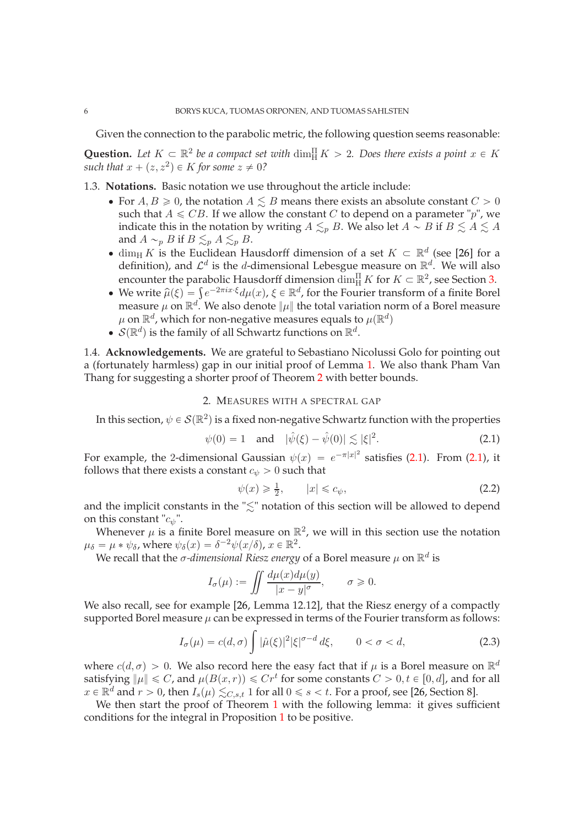Given the connection to the parabolic metric, the following question seems reasonable:

**Question.** Let  $K \subset \mathbb{R}^2$  be a compact set with  $\dim_H^{\Pi} K > 2$ . Does there exists a point  $x \in K$ such that  $x + (z, z^2) \in K$  *for some*  $z \neq 0$ ?

- 1.3. **Notations.** Basic notation we use throughout the article include:
	- For  $A, B \ge 0$ , the notation  $A \le B$  means there exists an absolute constant  $C > 0$ such that  $A \leq CB$ . If we allow the constant C to depend on a parameter "p", we indicate this in the notation by writing  $A \leq_{p} B$ . We also let  $A \sim B$  if  $B \leq A \leq A$ . and  $A \sim_p B$  if  $B \lesssim_p A \lesssim_p B$ .
	- dim<sub>H</sub> K is the Euclidean Hausdorff dimension of a set  $K \subset \mathbb{R}^d$  (see [\[26\]](#page-16-28) for a definition), and  $\mathcal{L}^d$  is the d-dimensional Lebesgue measure on  $\mathbb{R}^d$ . We will also encounter the parabolic Hausdorff dimension  $\dim_H^{\Pi} K$  for  $K \subset \mathbb{R}^2$ , see Section [3.](#page-8-0)
	- We write  $\hat{\mu}(\xi) = \int e^{-2\pi ix \cdot \xi} d\mu(x)$ ,  $\xi \in \mathbb{R}^d$ , for the Fourier transform of a finite Borel measure  $\mu$  on  $\mathbb{R}^d$ . We also denote  $\|\mu\|$  the total variation norm of a Borel measure  $\mu$  on  $\mathbb{R}^d$ , which for non-negative measures equals to  $\mu(\mathbb{R}^d)$
	- $S(\mathbb{R}^d)$  is the family of all Schwartz functions on  $\mathbb{R}^d$ .

1.4. **Acknowledgements.** We are grateful to Sebastiano Nicolussi Golo for pointing out a (fortunately harmless) gap in our initial proof of Lemma [1.](#page-6-0) We also thank Pham Van Thang for suggesting a shorter proof of Theorem [2](#page-2-0) with better bounds.

# 2. MEASURES WITH A SPECTRAL GAP

<span id="page-5-0"></span>In this section,  $\psi \in \mathcal{S}(\mathbb{R}^2)$  is a fixed non-negative Schwartz function with the properties

<span id="page-5-1"></span>
$$
\psi(0) = 1
$$
 and  $|\hat{\psi}(\xi) - \hat{\psi}(0)| \lesssim |\xi|^2$ . (2.1)

For example, the 2-dimensional Gaussian  $\psi(x) = e^{-\pi|x|^2}$  satisfies [\(2.1\)](#page-5-1). From (2.1), it follows that there exists a constant  $c_{\psi} > 0$  such that

<span id="page-5-2"></span>
$$
\psi(x) \geqslant \frac{1}{2}, \qquad |x| \leqslant c_{\psi}, \tag{2.2}
$$

and the implicit constants in the " $\leq$ " notation of this section will be allowed to depend on this constant " $c_{\psi}$ ".

Whenever  $\mu$  is a finite Borel measure on  $\mathbb{R}^2$ , we will in this section use the notation  $\mu_{\delta} = \mu * \psi_{\delta}$ , where  $\psi_{\delta}(x) = \delta^{-2} \psi(x/\delta)$ ,  $x \in \mathbb{R}^2$ .

We recall that the  $\sigma$ -dimensional Riesz energy of a Borel measure  $\mu$  on  $\mathbb{R}^d$  is

$$
I_{\sigma}(\mu) := \iint \frac{d\mu(x)d\mu(y)}{|x - y|^{\sigma}}, \qquad \sigma \geqslant 0.
$$

We also recall, see for example [\[26,](#page-16-28) Lemma 12.12], that the Riesz energy of a compactly supported Borel measure  $\mu$  can be expressed in terms of the Fourier transform as follows:

<span id="page-5-3"></span>
$$
I_{\sigma}(\mu) = c(d, \sigma) \int |\hat{\mu}(\xi)|^2 |\xi|^{\sigma - d} d\xi, \qquad 0 < \sigma < d,
$$
 (2.3)

where  $c(d, \sigma) > 0$ . We also record here the easy fact that if  $\mu$  is a Borel measure on  $\mathbb{R}^d$ satisfying  $\|\mu\| \leq C$ , and  $\mu(B(x,r)) \leq C r^t$  for some constants  $C > 0, t \in [0, d]$ , and for all  $x \in \mathbb{R}^d$  and  $r > 0$ , then  $I_s(\mu) \lesssim_{C,s,t} 1$  for all  $0 \le s < t$ . For a proof, see [\[26,](#page-16-28) Section 8].

We then start the proof of Theorem [1](#page-0-0) with the following lemma: it gives sufficient conditions for the integral in Proposition [1](#page-3-0) to be positive.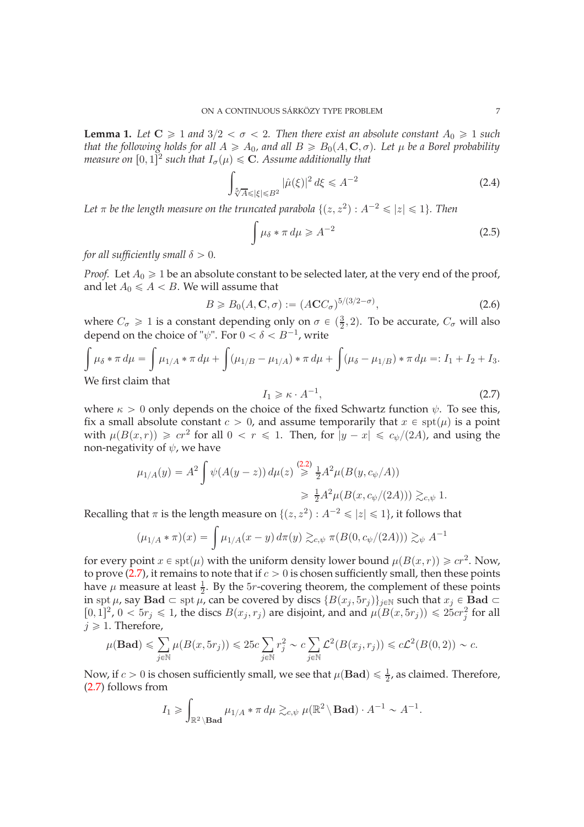<span id="page-6-0"></span>**Lemma 1.** Let  $C \geq 1$  and  $3/2 < \sigma < 2$ . Then there exist an absolute constant  $A_0 \geq 1$  such *that the following holds for all*  $A \geq A_0$ , and all  $B \geq B_0(A, \mathbb{C}, \sigma)$ . Let  $\mu$  be a Borel probability *measure on*  $[0,1]^2$  such that  $I_{\sigma}(\mu) \leq C$ . Assume additionally that

<span id="page-6-2"></span>
$$
\int_{\sqrt[5]{A}\leqslant |\xi|\leqslant B^2} |\hat{\mu}(\xi)|^2 d\xi \leqslant A^{-2}
$$
\n(2.4)

Let  $\pi$  be the length measure on the truncated parabola  $\{(z,z^2): A^{-2}\leqslant |z|\leqslant 1\}.$  Then

$$
\int \mu_{\delta} * \pi \, d\mu \geqslant A^{-2} \tag{2.5}
$$

*for all sufficiently small*  $\delta > 0$ *.* 

*Proof.* Let  $A_0 \geq 1$  be an absolute constant to be selected later, at the very end of the proof, and let  $A_0 \leq A < B$ . We will assume that

<span id="page-6-3"></span>
$$
B \geq B_0(A, \mathbf{C}, \sigma) := (ACC_{\sigma})^{5/(3/2 - \sigma)},\tag{2.6}
$$

where  $C_{\sigma} \ge 1$  is a constant depending only on  $\sigma \in (\frac{3}{2}, 2)$ . To be accurate,  $C_{\sigma}$  will also depend on the choice of " $\psi$ ". For  $0 < \delta < B^{-1}$ , write

$$
\int \mu_{\delta} * \pi \, d\mu = \int \mu_{1/A} * \pi \, d\mu + \int (\mu_{1/B} - \mu_{1/A}) * \pi \, d\mu + \int (\mu_{\delta} - \mu_{1/B}) * \pi \, d\mu =: I_1 + I_2 + I_3.
$$
\nWe first claim that

We first claim that

<span id="page-6-1"></span>
$$
I_1 \geq \kappa \cdot A^{-1},\tag{2.7}
$$

where  $\kappa > 0$  only depends on the choice of the fixed Schwartz function  $\psi$ . To see this, fix a small absolute constant  $c > 0$ , and assume temporarily that  $x \in \text{spt}(\mu)$  is a point with  $\mu(B(x,r)) \geqslant cr^2$  for all  $0 < r \leqslant 1$ . Then, for  $|y - x| \leqslant c_{\psi}/(2A)$ , and using the non-negativity of  $\psi$ , we have

$$
\mu_{1/A}(y) = A^2 \int \psi(A(y-z)) d\mu(z) \stackrel{(2.2)}{\geq} \frac{1}{2} A^2 \mu(B(y, c_{\psi}/A))
$$
  

$$
\geq \frac{1}{2} A^2 \mu(B(x, c_{\psi}/(2A))) \gtrsim_{c, \psi} 1.
$$

Recalling that  $\pi$  is the length measure on  $\{(z, z^2) : A^{-2} \leq |z| \leq 1\}$ , it follows that

$$
(\mu_{1/A} * \pi)(x) = \int \mu_{1/A}(x - y) d\pi(y) \gtrsim_{c, \psi} \pi(B(0, c_{\psi}/(2A))) \gtrsim_{\psi} A^{-1}
$$

for every point  $x \in \text{spt}(\mu)$  with the uniform density lower bound  $\mu(B(x, r)) \geqslant cr^2$ . Now, to prove [\(2.7\)](#page-6-1), it remains to note that if  $c > 0$  is chosen sufficiently small, then these points have  $\mu$  measure at least  $\frac{1}{2}$ . By the 5*r*-covering theorem, the complement of these points in spt  $\mu$ , say Bad  $\subset$  spt  $\mu$ , can be covered by discs  $\{B(x_i, 5r_j)\}_{j\in\mathbb{N}}$  such that  $x_j \in$  Bad  $\subset$  $[0, 1]^2$ ,  $0 < 5r_j \le 1$ , the discs  $B(x_j, r_j)$  are disjoint, and and  $\mu(B(x, 5r_j)) \le 25cr_j^2$  for all  $j \geqslant 1$ . Therefore,

$$
\mu(\mathbf{Bad}) \le \sum_{j \in \mathbb{N}} \mu(B(x, 5r_j)) \le 25c \sum_{j \in \mathbb{N}} r_j^2 \sim c \sum_{j \in \mathbb{N}} \mathcal{L}^2(B(x_j, r_j)) \le c\mathcal{L}^2(B(0, 2)) \sim c.
$$

Now, if  $c > 0$  is chosen sufficiently small, we see that  $\mu(Bad) \leq \frac{1}{2}$ , as claimed. Therefore, [\(2.7\)](#page-6-1) follows from

$$
I_1 \geqslant \int_{\mathbb{R}^2 \backslash \mathbf{Bad}} \mu_{1/A} * \pi \, d\mu \gtrsim_{c,\psi} \mu(\mathbb{R}^2 \backslash \mathbf{Bad}) \cdot A^{-1} \sim A^{-1}.
$$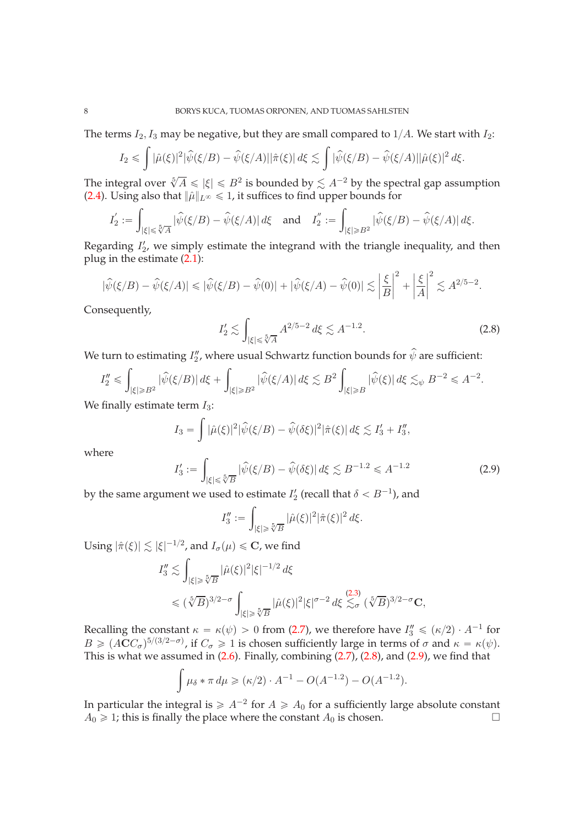The terms  $I_2$ ,  $I_3$  may be negative, but they are small compared to  $1/A$ . We start with  $I_2$ :

$$
I_2 \leqslant \int |\hat{\mu}(\xi)|^2 |\hat{\psi}(\xi/B) - \hat{\psi}(\xi/A)||\hat{\pi}(\xi)| d\xi \lesssim \int |\hat{\psi}(\xi/B) - \hat{\psi}(\xi/A)||\hat{\mu}(\xi)|^2 d\xi.
$$

The integral over  $\sqrt[5]{A} \leq |\xi| \leq B^2$  is bounded by  $\lesssim A^{-2}$  by the spectral gap assumption [\(2.4\)](#page-6-2). Using also that  $\|\hat{\mu}\|_{L^{\infty}} \leq 1$ , it suffices to find upper bounds for

$$
I_2' := \int_{|\xi| \leq \sqrt[5]{A}} |\widehat{\psi}(\xi/B) - \widehat{\psi}(\xi/A)| d\xi \quad \text{and} \quad I_2'' := \int_{|\xi| \geq B^2} |\widehat{\psi}(\xi/B) - \widehat{\psi}(\xi/A)| d\xi.
$$

Regarding  $I'_2$ , we simply estimate the integrand with the triangle inequality, and then plug in the estimate [\(2.1\)](#page-5-1):

$$
|\widehat{\psi}(\xi/B) - \widehat{\psi}(\xi/A)| \le |\widehat{\psi}(\xi/B) - \widehat{\psi}(0)| + |\widehat{\psi}(\xi/A) - \widehat{\psi}(0)| \lesssim \left|\frac{\xi}{B}\right|^2 + \left|\frac{\xi}{A}\right|^2 \lesssim A^{2/5 - 2}.
$$

Consequently,

<span id="page-7-0"></span>
$$
I_2' \lesssim \int_{|\xi| \le \sqrt[5]{A}} A^{2/5 - 2} d\xi \lesssim A^{-1.2}.
$$
 (2.8)

We turn to estimating  $I''_2$ , where usual Schwartz function bounds for  $\psi$  are sufficient:

$$
I_2'' \leqslant \int_{|\xi| \geqslant B^2} |\widehat{\psi}(\xi/B)| \, d\xi + \int_{|\xi| \geqslant B^2} |\widehat{\psi}(\xi/A)| \, d\xi \lesssim B^2 \int_{|\xi| \geqslant B} |\widehat{\psi}(\xi)| \, d\xi \lesssim_{\psi} B^{-2} \leqslant A^{-2}.
$$

We finally estimate term  $I_3$ :

$$
I_3 = \int |\hat{\mu}(\xi)|^2 |\hat{\psi}(\xi/B) - \hat{\psi}(\delta\xi)|^2 |\hat{\pi}(\xi)| d\xi \lesssim I_3' + I_3'',
$$

where

<span id="page-7-1"></span>
$$
I_3' := \int_{|\xi| \le \sqrt[5]{B}} |\hat{\psi}(\xi/B) - \hat{\psi}(\delta\xi)| d\xi \lesssim B^{-1.2} \le A^{-1.2}
$$
 (2.9)

by the same argument we used to estimate  $I_2'$  (recall that  $\delta < B^{-1}$ ), and

$$
I_3'':=\int_{|\xi|\geq \sqrt[5]{B}} |\hat{\mu}(\xi)|^2 |\hat{\pi}(\xi)|^2 d\xi.
$$

Using  $|\hat{\pi}(\xi)| \lesssim |\xi|^{-1/2}$ , and  $I_{\sigma}(\mu) \leqslant \mathbf{C}$ , we find

$$
I_3'' \lesssim \int_{|\xi| \ge \sqrt[5]{B}} |\hat{\mu}(\xi)|^2 |\xi|^{-1/2} d\xi
$$
  
\$\le (\sqrt[5]{B})^{3/2-\sigma} \int\_{|\xi| \ge \sqrt[5]{B}} |\hat{\mu}(\xi)|^2 |\xi|^{\sigma-2} d\xi \lesssim\_{\sigma} (\sqrt[5]{B})^{3/2-\sigma} \mathbf{C},

Recalling the constant  $\kappa = \kappa(\psi) > 0$  from [\(2.7\)](#page-6-1), we therefore have  $I''_3 \leq (\kappa/2) \cdot A^{-1}$  for  $B \geq (ACC_{\sigma})^{5/(3/2-\sigma)}$ , if  $C_{\sigma} \geq 1$  is chosen sufficiently large in terms of  $\sigma$  and  $\kappa = \kappa(\psi)$ . This is what we assumed in  $(2.6)$ . Finally, combining  $(2.7)$ ,  $(2.8)$ , and  $(2.9)$ , we find that

$$
\int \mu_{\delta} * \pi \, d\mu \geq (\kappa/2) \cdot A^{-1} - O(A^{-1.2}) - O(A^{-1.2}).
$$

In particular the integral is  $\geq A^{-2}$  for  $A \geq A_0$  for a sufficiently large absolute constant  $A_0 \geq 1$ ; this is finally the place where the constant  $A_0$  is chosen.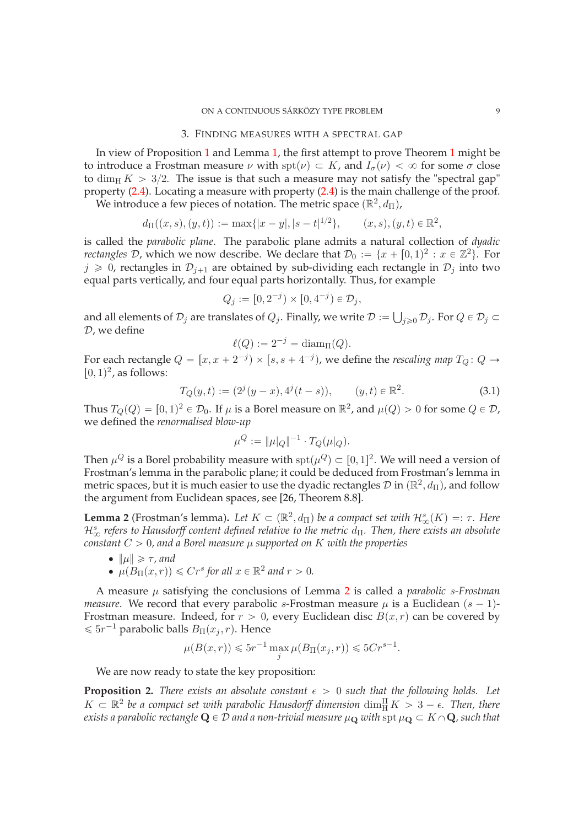#### 3. FINDING MEASURES WITH A SPECTRAL GAP

<span id="page-8-0"></span>In view of Proposition [1](#page-3-0) and Lemma [1,](#page-6-0) the first attempt to prove Theorem [1](#page-0-0) might be to introduce a Frostman measure  $\nu$  with  $spt(\nu) \subset K$ , and  $I_{\sigma}(\nu) < \infty$  for some  $\sigma$  close to dim<sub>H</sub>  $K > 3/2$ . The issue is that such a measure may not satisfy the "spectral gap" property [\(2.4\)](#page-6-2). Locating a measure with property [\(2.4\)](#page-6-2) is the main challenge of the proof.

We introduce a few pieces of notation. The metric space  $(\mathbb{R}^2, d_{\Pi})$ ,

$$
d_{\Pi}((x,s),(y,t)) := \max\{|x-y|,|s-t|^{1/2}\}, \qquad (x,s),(y,t) \in \mathbb{R}^2,
$$

is called the *parabolic plane*. The parabolic plane admits a natural collection of *dyadic rectangles*  $D$ , which we now describe. We declare that  $D_0 := \{x + [0, 1)^2 : x \in \mathbb{Z}^2\}$ . For  $j \geq 0$ , rectangles in  $\mathcal{D}_{j+1}$  are obtained by sub-dividing each rectangle in  $\mathcal{D}_j$  into two equal parts vertically, and four equal parts horizontally. Thus, for example

$$
Q_j := [0, 2^{-j}) \times [0, 4^{-j}) \in \mathcal{D}_j,
$$

and all elements of  $\mathcal{D}_j$  are translates of  $Q_j$ . Finally, we write  $\mathcal{D} := \bigcup_{j \geq 0} \mathcal{D}_j$ . For  $Q \in \mathcal{D}_j \subset \mathbb{R}$ D, we define

$$
\ell(Q) := 2^{-j} = \text{diam}_{\Pi}(Q).
$$

For each rectangle  $Q = [x, x + 2^{-j}] \times [s, s + 4^{-j}]$ , we define the *rescaling map*  $T_Q: Q \to$  $[0, 1)^2$ , as follows:

<span id="page-8-3"></span>
$$
T_Q(y,t) := (2j(y-x), 4j(t-s)), \qquad (y,t) \in \mathbb{R}^2.
$$
 (3.1)

Thus  $T_Q(Q) = [0, 1)^2 \in \mathcal{D}_0$ . If  $\mu$  is a Borel measure on  $\mathbb{R}^2$ , and  $\mu(Q) > 0$  for some  $Q \in \mathcal{D}$ , we defined the *renormalised blow-up*

$$
\mu^Q := \|\mu|_Q\|^{-1} \cdot T_Q(\mu|_Q).
$$

Then  $\mu^Q$  is a Borel probability measure with  $\text{spt}(\mu^Q) \subset [0, 1]^2$ . We will need a version of Frostman's lemma in the parabolic plane; it could be deduced from Frostman's lemma in metric spaces, but it is much easier to use the dyadic rectangles  $\mathcal D$  in  $(\mathbb{R}^2, d_{\Pi})$ , and follow the argument from Euclidean spaces, see [\[26,](#page-16-28) Theorem 8.8].

<span id="page-8-2"></span>**Lemma 2** (Frostman's lemma). Let  $K \subset (\mathbb{R}^2, d_{\Pi})$  be a compact set with  $\mathcal{H}^s_{\infty}(K) =: \tau$ . Here  $\mathcal{H}^s_\infty$  refers to Hausdorff content defined relative to the metric d<sub>Π</sub>. Then, there exists an absolute *constant*  $C > 0$ , and a Borel measure  $\mu$  supported on K with the properties

• 
$$
\|\mu\| \geq \tau
$$
, and

•  $\mu(B_{\Pi}(x,r)) \le Cr^s$  for all  $x \in \mathbb{R}^2$  and  $r > 0$ .

A measure µ satisfying the conclusions of Lemma [2](#page-8-2) is called a *parabolic* s*-Frostman measure*. We record that every parabolic s-Frostman measure  $\mu$  is a Euclidean  $(s - 1)$ -Frostman measure. Indeed, for  $r > 0$ , every Euclidean disc  $B(x, r)$  can be covered by  $\leqslant 5r^{-1}$  parabolic balls  $B_{\Pi}(x_j, r)$ . Hence

$$
\mu(B(x,r)) \le 5r^{-1} \max_{j} \mu(B_{\Pi}(x_j,r)) \le 5Cr^{s-1}.
$$

We are now ready to state the key proposition:

<span id="page-8-1"></span>**Proposition 2.** *There exists an absolute constant*  $\epsilon > 0$  *such that the following holds. Let*  $K \subset \mathbb{R}^2$  be a compact set with parabolic Hausdorff dimension  $\dim_H^{\Pi} K > 3 - \epsilon$ . Then, there  $e$ xists a parabolic rectangle  $\mathbf{Q}\in \mathcal{D}$  and a non-trivial measure  $\mu_\mathbf{Q}$  with  ${\rm spt}\,\mu_\mathbf{Q}\subset K\cap \mathbf{Q}$ , such that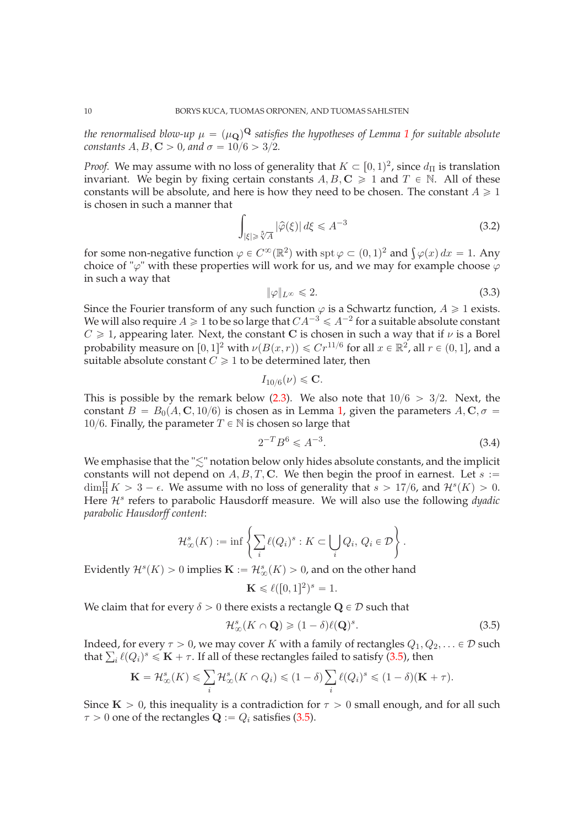*the renormalised blow-up*  $\mu = (\mu_\mathbf{Q})^\mathbf{Q}$  *satisfies the hypotheses of Lemma [1](#page-6-0) for suitable absolute constants*  $A, B, C > 0$ , and  $\sigma = 10/6 > 3/2$ .

*Proof.* We may assume with no loss of generality that  $K \subset [0,1)^2$ , since  $d_{\Pi}$  is translation invariant. We begin by fixing certain constants  $A, B, C \geq 1$  and  $T \in \mathbb{N}$ . All of these constants will be absolute, and here is how they need to be chosen. The constant  $A \ge 1$ is chosen in such a manner that

<span id="page-9-2"></span>
$$
\int_{|\xi| \geq \sqrt[5]{A}} |\widehat{\varphi}(\xi)| d\xi \leq A^{-3}
$$
\n(3.2)

for some non-negative function  $\varphi \in C^{\infty}(\mathbb{R}^2)$  with  $\text{spt}\,\varphi \subset (0, 1)^2$  and  $\int \varphi(x) dx = 1$ . Any choice of " $\varphi$ " with these properties will work for us, and we may for example choose  $\varphi$ in such a way that

<span id="page-9-3"></span>
$$
\|\varphi\|_{L^{\infty}} \leq 2. \tag{3.3}
$$

Since the Fourier transform of any such function  $\varphi$  is a Schwartz function,  $A \geq 1$  exists. We will also require  $A \geq 1$  to be so large that  $CA^{-3} \leq A^{-2}$  for a suitable absolute constant  $C \geq 1$ , appearing later. Next, the constant C is chosen in such a way that if  $\nu$  is a Borel probability measure on  $[0, 1]^2$  with  $\nu(B(x, r)) \le Cr^{11/6}$  for all  $x \in \mathbb{R}^2$ , all  $r \in (0, 1]$ , and a suitable absolute constant  $C \geq 1$  to be determined later, then

$$
I_{10/6}(\nu) \leqslant \mathbf{C}.
$$

This is possible by the remark below  $(2.3)$ . We also note that  $10/6 > 3/2$ . Next, the constant  $B = B_0(A, \mathbf{C}, 10/6)$  is chosen as in Lemma [1,](#page-6-0) given the parameters  $A, C, \sigma =$ 10/6. Finally, the parameter  $T \in \mathbb{N}$  is chosen so large that

<span id="page-9-1"></span>
$$
2^{-T}B^6 \leqslant A^{-3}.\tag{3.4}
$$

We emphasise that the " $\lesssim$ " notation below only hides absolute constants, and the implicit constants will not depend on  $A, B, T, C$ . We then begin the proof in earnest. Let  $s :=$  $\dim_{\mathcal{H}}^{\Pi} K > 3 - \epsilon$ . We assume with no loss of generality that  $s > 17/6$ , and  $\mathcal{H}^s(K) > 0$ . Here  $\mathcal{H}^s$  refers to parabolic Hausdorff measure. We will also use the following *dyadic parabolic Hausdorff content*:

$$
\mathcal{H}^s_\infty(K) := \inf \left\{ \sum_i \ell(Q_i)^s : K \subset \bigcup_i Q_i, \, Q_i \in \mathcal{D} \right\}.
$$

Evidently  $\mathcal{H}^s(K) > 0$  implies  $\mathbf{K} := \mathcal{H}^s_\infty(K) > 0$ , and on the other hand

$$
\mathbf{K} \leqslant \ell([0,1]^2)^s = 1.
$$

We claim that for every  $\delta > 0$  there exists a rectangle  $\mathbf{Q} \in \mathcal{D}$  such that

<span id="page-9-0"></span>
$$
\mathcal{H}^s_\infty(K \cap \mathbf{Q}) \geq (1 - \delta) \ell(\mathbf{Q})^s. \tag{3.5}
$$

Indeed, for every  $\tau > 0$ , we may cover K with a family of rectangles  $Q_1, Q_2, \ldots \in \mathcal{D}$  such that  $\sum_i \ell(Q_i)^s \leqslant \mathbf{K} + \tau$ . If all of these rectangles failed to satisfy [\(3.5\)](#page-9-0), then

$$
\mathbf{K} = \mathcal{H}^s_{\infty}(K) \leq \sum_{i} \mathcal{H}^s_{\infty}(K \cap Q_i) \leq (1 - \delta) \sum_{i} \ell(Q_i)^s \leq (1 - \delta)(\mathbf{K} + \tau).
$$

Since  $K > 0$ , this inequality is a contradiction for  $\tau > 0$  small enough, and for all such  $\tau > 0$  one of the rectangles  $\mathbf{Q} := Q_i$  satisfies [\(3.5\)](#page-9-0).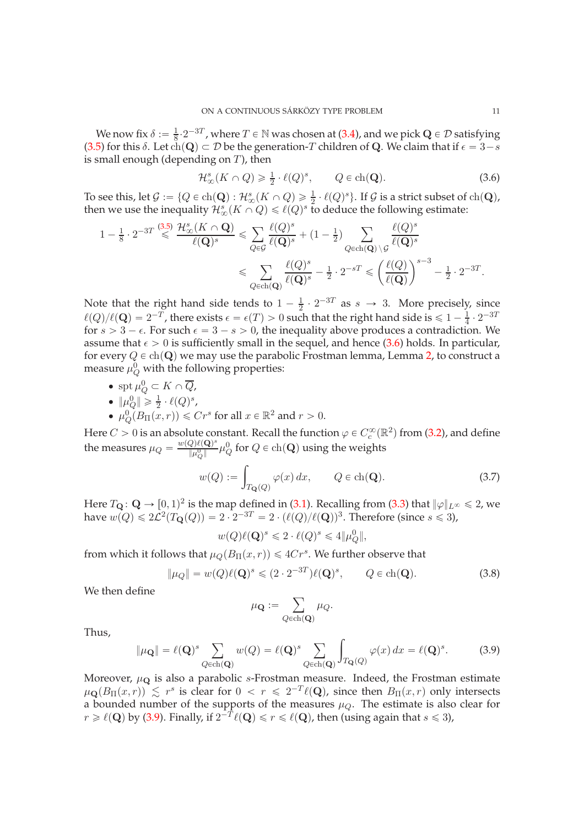We now fix  $\delta := \frac{1}{8}$  $\frac{1}{8} \cdot 2^{-3T}$ , where  $T \in \mathbb{N}$  was chosen at [\(3.4\)](#page-9-1), and we pick  $\mathbf{Q} \in \mathcal{D}$  satisfying [\(3.5\)](#page-9-0) for this  $\delta$ . Let  $ch(\mathbf{Q}) \subset \mathcal{D}$  be the generation-T children of Q. We claim that if  $\epsilon = 3-s$ is small enough (depending on  $T$ ), then

<span id="page-10-0"></span>
$$
\mathcal{H}^s_\infty(K \cap Q) \geq \frac{1}{2} \cdot \ell(Q)^s, \qquad Q \in \text{ch}(\mathbf{Q}).\tag{3.6}
$$

To see this, let  $\mathcal{G} := \{Q \in \text{ch}(\mathbf{Q}) : \mathcal{H}^s_\infty(K \cap Q) \geq \frac{1}{2} \cdot \ell(Q)^s\}$ . If  $\mathcal{G}$  is a strict subset of  $\text{ch}(\mathbf{Q})$ , then we use the inequality  $\mathcal{H}^s_\infty(K\cap Q)\leqslant \ell(Q)^s$  to deduce the following estimate:

$$
\begin{aligned} 1 - \tfrac{1}{8} \cdot 2^{-3T} \stackrel{(3.5)}{\leqslant} & \frac{\mathcal{H}^s_\infty(K \cap \mathbf{Q})}{\ell(\mathbf{Q})^s} \leqslant \sum_{Q \in \mathcal{G}} \frac{\ell(Q)^s}{\ell(\mathbf{Q})^s} + (1 - \tfrac{1}{2}) \sum_{Q \in \text{ch}(\mathbf{Q}) \backslash \mathcal{G}} \frac{\ell(Q)^s}{\ell(\mathbf{Q})^s} \\ & \leqslant \sum_{Q \in \text{ch}(\mathbf{Q})} \frac{\ell(Q)^s}{\ell(\mathbf{Q})^s} - \tfrac{1}{2} \cdot 2^{-sT} \leqslant \left(\frac{\ell(Q)}{\ell(\mathbf{Q})}\right)^{s-3} - \tfrac{1}{2} \cdot 2^{-3T}. \end{aligned}
$$

Note that the right hand side tends to  $1 - \frac{1}{2}$  $\frac{1}{2} \cdot 2^{-3T}$  as  $s \to 3$ . More precisely, since  $\ell(Q)/\ell(Q) = 2^{-T}$ , there exists  $\epsilon = \epsilon(T) > 0$  such that the right hand side is  $\leq 1 - \frac{1}{4}$  $\frac{1}{4} \cdot 2^{-37}$ for  $s > 3 - \epsilon$ . For such  $\epsilon = 3 - s > 0$ , the inequality above produces a contradiction. We assume that  $\epsilon > 0$  is sufficiently small in the sequel, and hence [\(3.6\)](#page-10-0) holds. In particular, for every  $Q \in ch(\mathbf{Q})$  we may use the parabolic Frostman lemma, Lemma [2,](#page-8-2) to construct a measure  $\mu_Q^0$  with the following properties:

• spt  $\mu_Q^0 \subset K \cap \overline{Q}$ ,

$$
\bullet \ \|\mu_Q^0\| \geq \frac{1}{2} \cdot \ell(Q)^s,
$$

•  $\mu_Q^0(B_\Pi(x,r)) \leq Cr^s$  for all  $x \in \mathbb{R}^2$  and  $r > 0$ .

Here  $C > 0$  is an absolute constant. Recall the function  $\varphi \in C_c^{\infty}(\mathbb{R}^2)$  from [\(3.2\)](#page-9-2), and define the measures  $\mu_Q = \frac{w(Q) \ell(Q)^s}{\|\mu_Q^0\|}$  $\frac{Q\beta\ell(\mathbf{Q})^s}{\|\mu_Q^0\|}\mu_Q^0$  for  $Q\in\ch(\mathbf{Q})$  using the weights

<span id="page-10-3"></span>
$$
w(Q) := \int_{T_{\mathbf{Q}}(Q)} \varphi(x) dx, \qquad Q \in \text{ch}(\mathbf{Q}).
$$
 (3.7)

Here  $T_{\mathbf{Q}}: \mathbf{Q} \to [0, 1)^2$  is the map defined in [\(3.1\)](#page-8-3). Recalling from [\(3.3\)](#page-9-3) that  $\|\varphi\|_{L^\infty} \leq 2$ , we have  $w(Q) \leq 2\mathcal{L}^2(T_\mathbf{Q}(Q)) = 2 \cdot 2^{-3T} = 2 \cdot (\ell(Q)/\ell(Q))^3$ . Therefore (since  $s \leq 3$ ),

$$
w(Q)\ell(\mathbf{Q})^s \leq 2 \cdot \ell(Q)^s \leq 4\|\mu_Q^0\|,
$$

from which it follows that  $\mu_Q(B_\Pi(x, r)) \leqslant 4Cr^s$ . We further observe that

<span id="page-10-2"></span>
$$
\|\mu_Q\| = w(Q)\ell(Q)^s \leq (2 \cdot 2^{-3T})\ell(Q)^s, \qquad Q \in \text{ch}(Q). \tag{3.8}
$$

We then define

$$
\mu_{\mathbf{Q}} := \sum_{Q \in \text{ch}(\mathbf{Q})} \mu_Q.
$$

Thus,

<span id="page-10-1"></span>
$$
\|\mu_{\mathbf{Q}}\| = \ell(\mathbf{Q})^s \sum_{Q \in ch(\mathbf{Q})} w(Q) = \ell(\mathbf{Q})^s \sum_{Q \in ch(\mathbf{Q})} \int_{T_{\mathbf{Q}}(Q)} \varphi(x) dx = \ell(\mathbf{Q})^s.
$$
 (3.9)

Moreover,  $\mu_{\mathbf{Q}}$  is also a parabolic s-Frostman measure. Indeed, the Frostman estimate  $\mu_{\mathbf{Q}}(B_{\Pi}(x,r)) \lesssim r^s$  is clear for  $0 < r \leq 2^{-T}\ell(\mathbf{Q})$ , since then  $B_{\Pi}(x,r)$  only intersects a bounded number of the supports of the measures  $\mu_Q$ . The estimate is also clear for  $r \geq \ell(\mathbf{Q})$  by [\(3.9\)](#page-10-1). Finally, if  $2^{-T}\ell(\mathbf{Q}) \leq r \leq \ell(\mathbf{Q})$ , then (using again that  $s \leq 3$ ),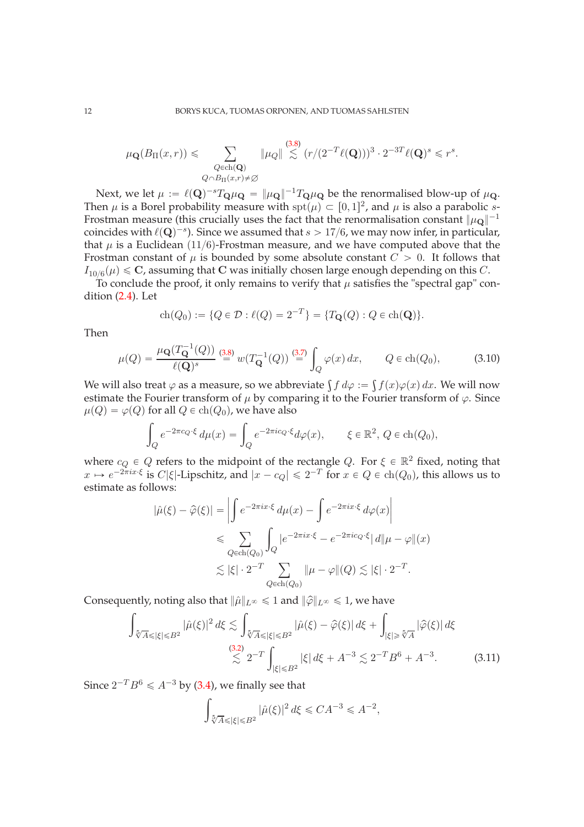$$
\mu_{\mathbf{Q}}(B_{\Pi}(x,r)) \leq \sum_{\substack{Q \in \text{ch}(\mathbf{Q}) \\ Q \cap B_{\Pi}(x,r) \neq \emptyset}} \|\mu_Q\| \stackrel{(3.8)}{\lesssim} (r/(2^{-T}\ell(\mathbf{Q})))^3 \cdot 2^{-3T}\ell(\mathbf{Q})^s \leq r^s.
$$

Next, we let  $\mu := \ell(\mathbf{Q})^{-s}T_{\mathbf{Q}}\mu_{\mathbf{Q}} = ||\mu_{\mathbf{Q}}||^{-1}T_{\mathbf{Q}}\mu_{\mathbf{Q}}$  be the renormalised blow-up of  $\mu_{\mathbf{Q}}$ . Then  $\mu$  is a Borel probability measure with  $\text{spt}(\mu) \subset [0, 1]^2$ , and  $\mu$  is also a parabolic s-Frostman measure (this crucially uses the fact that the renormalisation constant  $\|\mu_{\mathbf{Q}}\|^{-1}$ coincides with  $\ell(\mathbf{Q})^{-s}$ ). Since we assumed that  $s > 17/6$ , we may now infer, in particular, that  $\mu$  is a Euclidean (11/6)-Frostman measure, and we have computed above that the Frostman constant of  $\mu$  is bounded by some absolute constant  $C > 0$ . It follows that  $I_{10/6}(\mu) \leq C$ , assuming that C was initially chosen large enough depending on this C.

To conclude the proof, it only remains to verify that  $\mu$  satisfies the "spectral gap" condition [\(2.4\)](#page-6-2). Let

$$
ch(Q_0) := \{ Q \in \mathcal{D} : \ell(Q) = 2^{-T} \} = \{ T_{\mathbf{Q}}(Q) : Q \in ch(\mathbf{Q}) \}.
$$

Then

$$
\mu(Q) = \frac{\mu_{\mathbf{Q}}(T_{\mathbf{Q}}^{-1}(Q))}{\ell(\mathbf{Q})^s} \stackrel{(3.8)}{=} w(T_{\mathbf{Q}}^{-1}(Q)) \stackrel{(3.7)}{=} \int_{Q} \varphi(x) \, dx, \qquad Q \in \text{ch}(Q_0), \tag{3.10}
$$

We will also treat  $\varphi$  as a measure, so we abbreviate  $\int f d\varphi := \int f(x) \varphi(x) dx$ . We will now estimate the Fourier transform of  $\mu$  by comparing it to the Fourier transform of  $\varphi$ . Since  $\mu(Q) = \varphi(Q)$  for all  $Q \in ch(Q_0)$ , we have also

$$
\int_{Q} e^{-2\pi c_Q \cdot \xi} d\mu(x) = \int_{Q} e^{-2\pi i c_Q \cdot \xi} d\varphi(x), \qquad \xi \in \mathbb{R}^2, Q \in \text{ch}(Q_0),
$$

where  $c_Q \in Q$  refers to the midpoint of the rectangle Q. For  $\xi \in \mathbb{R}^2$  fixed, noting that  $x \mapsto e^{-2\pi ix\cdot\xi}$  is  $C|\xi|$ -Lipschitz, and  $|x - c_Q| \leq 2^{-T}$  for  $x \in Q \in ch(Q_0)$ , this allows us to estimate as follows:

$$
|\hat{\mu}(\xi) - \hat{\varphi}(\xi)| = \left| \int e^{-2\pi ix \cdot \xi} d\mu(x) - \int e^{-2\pi ix \cdot \xi} d\varphi(x) \right|
$$
  

$$
\leqslant \sum_{Q \in \text{ch}(Q_0)} \int_Q |e^{-2\pi ix \cdot \xi} - e^{-2\pi ic_Q \cdot \xi}| d\mu - \varphi\|(x)
$$
  

$$
\lesssim |\xi| \cdot 2^{-T} \sum_{Q \in \text{ch}(Q_0)} \|\mu - \varphi\|(Q) \lesssim |\xi| \cdot 2^{-T}.
$$

Consequently, noting also that  $\|\hat{\mu}\|_{L^{\infty}} \leq 1$  and  $\|\hat{\varphi}\|_{L^{\infty}} \leq 1$ , we have

$$
\int_{\sqrt[5]{A}\leq |\xi| \leq B^2} |\hat{\mu}(\xi)|^2 d\xi \lesssim \int_{\sqrt[5]{A}\leq |\xi| \leq B^2} |\hat{\mu}(\xi) - \hat{\varphi}(\xi)| d\xi + \int_{|\xi| \geq \sqrt[5]{A}} |\hat{\varphi}(\xi)| d\xi
$$
\n
$$
\lesssim \frac{(3.2)}{2} 2^{-T} \int_{|\xi| \leq B^2} |\xi| d\xi + A^{-3} \lesssim 2^{-T} B^6 + A^{-3}.
$$
\n(3.11)

Since  $2^{-T}B^6 \leqslant A^{-3}$  by [\(3.4\)](#page-9-1), we finally see that

<span id="page-11-0"></span>
$$
\int_{\sqrt[5]{A}\leqslant |\xi|\leqslant B^2} |\widehat{\mu}(\xi)|^2 d\xi \leqslant C A^{-3} \leqslant A^{-2},
$$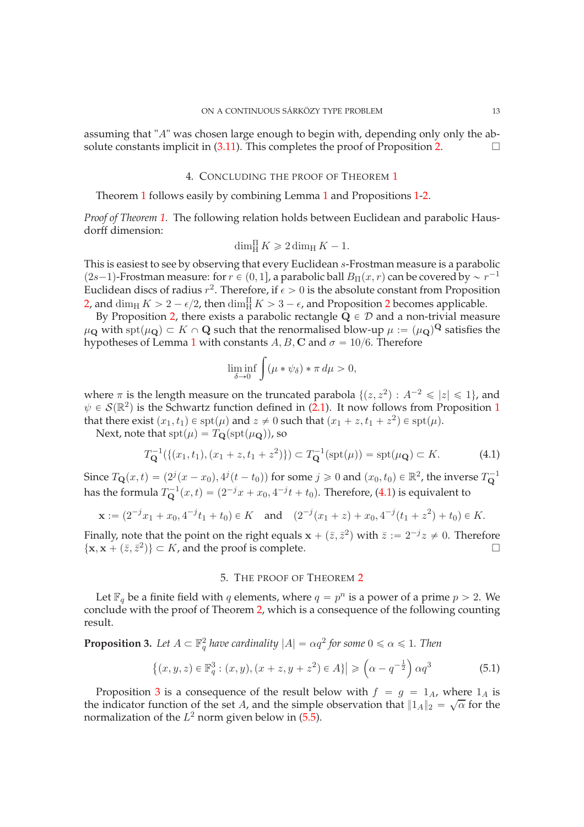<span id="page-12-1"></span>assuming that "A" was chosen large enough to begin with, depending only only the absolute constants implicit in  $(3.11)$ . This completes the proof of Proposition [2.](#page-8-1)

# 4. CONCLUDING THE PROOF OF THEOREM [1](#page-0-0)

Theorem [1](#page-0-0) follows easily by combining Lemma [1](#page-6-0) and Propositions [1](#page-3-0)[-2.](#page-8-1)

*Proof of Theorem [1.](#page-0-0)* The following relation holds between Euclidean and parabolic Hausdorff dimension:

$$
\dim_{\mathrm{H}}^{\Pi} K \geqslant 2 \dim_{\mathrm{H}} K - 1.
$$

This is easiest to see by observing that every Euclidean s-Frostman measure is a parabolic  $(2s-1)$ -Frostman measure: for  $r \in (0, 1]$ , a parabolic ball  $B_{\Pi}(x, r)$  can be covered by  $\sim r^{-1}$ Euclidean discs of radius  $r^2$ . Therefore, if  $\epsilon > 0$  is the absolute constant from Proposition [2,](#page-8-1) and  $\dim_H K > 2 - \epsilon/2$  $\dim_H K > 2 - \epsilon/2$  $\dim_H K > 2 - \epsilon/2$ , then  $\dim_H^{\Pi} K > 3 - \epsilon$ , and Proposition 2 becomes applicable.

By Proposition [2,](#page-8-1) there exists a parabolic rectangle  $Q \in \mathcal{D}$  and a non-trivial measure  $\mu_{\bf Q}$  with  ${\rm spt}(\mu_{\bf Q})\subset K\cap {\bf Q}$  such that the renormalised blow-up  $\mu:=(\mu_{\bf Q})^{{\bf Q}}$  satisfies the hypotheses of Lemma [1](#page-6-0) with constants  $A, B, C$  and  $\sigma = 10/6$ . Therefore

$$
\liminf_{\delta \to 0} \int (\mu * \psi_{\delta}) * \pi d\mu > 0,
$$

where  $\pi$  is the length measure on the truncated parabola  $\{(z, z^2) : A^{-2} \le |z| \le 1\}$ , and  $\psi \in \mathcal{S}(\mathbb{R}^2)$  is the Schwartz function defined in [\(2.1\)](#page-5-1). It now follows from Proposition [1](#page-3-0) that there exist  $(x_1, t_1) \in \text{spt}(\mu)$  and  $z \neq 0$  such that  $(x_1 + z, t_1 + z^2) \in \text{spt}(\mu)$ .

Next, note that  $\text{spt}(\mu) = T_{\mathbf{Q}}(\text{spt}(\mu_{\mathbf{Q}}))$ , so

<span id="page-12-2"></span>
$$
T_{\mathbf{Q}}^{-1}(\{(x_1, t_1), (x_1 + z, t_1 + z^2)\}) \subset T_{\mathbf{Q}}^{-1}(\text{spt}(\mu)) = \text{spt}(\mu_{\mathbf{Q}}) \subset K.
$$
 (4.1)

Since  $T_{\mathbf{Q}}(x,t) = (2^j(x-x_0), 4^j(t-t_0))$  for some  $j \geq 0$  and  $(x_0, t_0) \in \mathbb{R}^2$ , the inverse  $T_{\mathbf{Q}}^{-1}$ has the formula  $T_{\mathbf{Q}}^{-1}(x,t) = (2^{-j}x + x_0, 4^{-j}t + t_0)$ . Therefore, [\(4.1\)](#page-12-2) is equivalent to

$$
\mathbf{x} := (2^{-j}x_1 + x_0, 4^{-j}t_1 + t_0) \in K \quad \text{and} \quad (2^{-j}(x_1 + z) + x_0, 4^{-j}(t_1 + z^2) + t_0) \in K.
$$

Finally, note that the point on the right equals  $\mathbf{x} + (\bar{z}, \bar{z}^2)$  with  $\bar{z} := 2^{-j}z \neq 0$ . Therefore  $\{x, x + (\bar{z}, \bar{z}^2)\} \subset K$ , and the proof is complete.

## 5. THE PROOF OF THEOREM [2](#page-2-0)

<span id="page-12-0"></span>Let  $\mathbb{F}_q$  be a finite field with q elements, where  $q = p^n$  is a power of a prime  $p > 2$ . We conclude with the proof of Theorem [2,](#page-2-0) which is a consequence of the following counting result.

<span id="page-12-3"></span>**Proposition 3.** Let  $A \subset \mathbb{F}_q^2$  have cardinality  $|A| = \alpha q^2$  for some  $0 \le \alpha \le 1$ . Then

$$
\{(x, y, z) \in \mathbb{F}_q^3 : (x, y), (x + z, y + z^2) \in A\} \ge (\alpha - q^{-\frac{1}{2}}) \alpha q^3 \tag{5.1}
$$

Proposition [3](#page-12-3) is a consequence of the result below with  $f = g = 1_A$ , where  $1_A$  is the indicator function of the set A, and the simple observation that  $||1_A||_2 = \sqrt{\alpha}$  for the normalization of the  $L^2$  norm given below in [\(5.5\)](#page-14-0).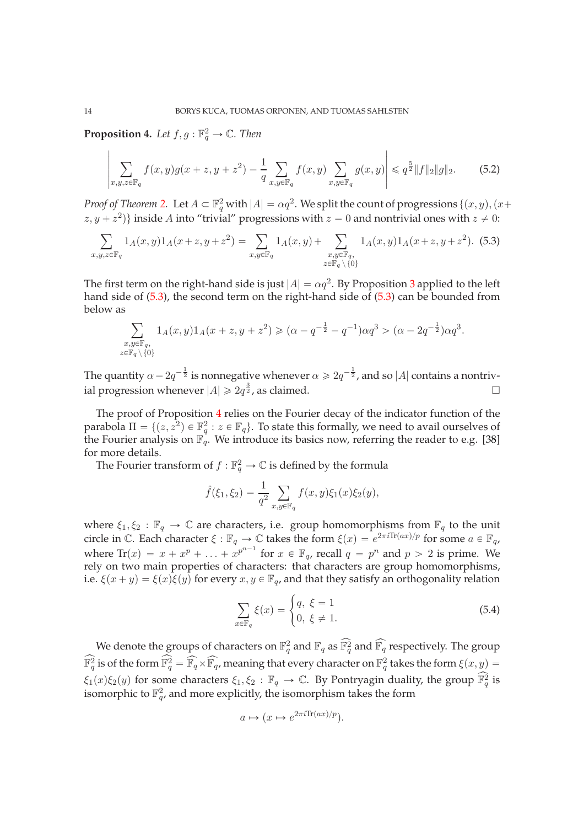<span id="page-13-1"></span>**Proposition 4.** Let  $f, g : \mathbb{F}_q^2 \to \mathbb{C}$ . Then

$$
\left| \sum_{x,y,z \in \mathbb{F}_q} f(x,y)g(x+z,y+z^2) - \frac{1}{q} \sum_{x,y \in \mathbb{F}_q} f(x,y) \sum_{x,y \in \mathbb{F}_q} g(x,y) \right| \leq q^{\frac{5}{2}} \|f\|_2 \|g\|_2.
$$
 (5.2)

*Proof of Theorem [2.](#page-2-0)* Let  $A \subset \mathbb{F}_q^2$  with  $|A| = \alpha q^2$ . We split the count of progressions  $\{(x, y), (x +$  $(z, y + z^2)$ } inside A into "trivial" progressions with  $z = 0$  and nontrivial ones with  $z \neq 0$ :

<span id="page-13-0"></span>
$$
\sum_{x,y,z \in \mathbb{F}_q} 1_A(x,y) 1_A(x+z,y+z^2) = \sum_{x,y \in \mathbb{F}_q} 1_A(x,y) + \sum_{\substack{x,y \in \mathbb{F}_q, \\ z \in \mathbb{F}_q \setminus \{0\}}} 1_A(x,y) 1_A(x+z,y+z^2). \tag{5.3}
$$

The first term on the right-hand side is just  $|A| = \alpha q^2$ . By Proposition [3](#page-12-3) applied to the left hand side of [\(5.3\)](#page-13-0), the second term on the right-hand side of [\(5.3\)](#page-13-0) can be bounded from below as

$$
\sum_{\substack{x,y \in \mathbb{F}_q, \\ z \in \mathbb{F}_q \setminus \{0\}}} 1_A(x,y) 1_A(x+z,y+z^2) \geqslant (\alpha - q^{-\frac{1}{2}} - q^{-1}) \alpha q^3 > (\alpha - 2q^{-\frac{1}{2}}) \alpha q^3.
$$

The quantity  $\alpha - 2q^{-\frac{1}{2}}$  is nonnegative whenever  $\alpha \geqslant 2q^{-\frac{1}{2}}$ , and so  $|A|$  contains a nontrivial progression whenever  $|A| \geq 2q^{\frac{3}{2}}$ , as claimed.

The proof of Proposition [4](#page-13-1) relies on the Fourier decay of the indicator function of the parabola  $\Pi = \{(z, z^2) \in \mathbb{F}_q^2 : z \in \mathbb{F}_q\}$ . To state this formally, we need to avail ourselves of the Fourier analysis on  $\mathbb{F}_q$ . We introduce its basics now, referring the reader to e.g. [\[38\]](#page-17-3) for more details.

The Fourier transform of  $f : \mathbb{F}_q^2 \to \mathbb{C}$  is defined by the formula

$$
\hat{f}(\xi_1, \xi_2) = \frac{1}{q^2} \sum_{x, y \in \mathbb{F}_q} f(x, y) \xi_1(x) \xi_2(y),
$$

where  $\xi_1, \xi_2 : \mathbb{F}_q \to \mathbb{C}$  are characters, i.e. group homomorphisms from  $\mathbb{F}_q$  to the unit circle in C. Each character  $\xi : \mathbb{F}_q \to \mathbb{C}$  takes the form  $\xi(x) = e^{2\pi i \text{Tr}(ax)/p}$  for some  $a \in \mathbb{F}_q$ , where  $\text{Tr}(x) = x + x^p + \ldots + x^{p^{n-1}}$  for  $x \in \mathbb{F}_q$ , recall  $q = p^n$  and  $p > 2$  is prime. We rely on two main properties of characters: that characters are group homomorphisms, i.e.  $\xi(x + y) = \xi(x)\xi(y)$  for every  $x, y \in \mathbb{F}_q$ , and that they satisfy an orthogonality relation

<span id="page-13-2"></span>
$$
\sum_{x \in \mathbb{F}_q} \xi(x) = \begin{cases} q, & \xi = 1 \\ 0, & \xi \neq 1. \end{cases}
$$
\n(5.4)

We denote the groups of characters on  $\mathbb{F}_{q}^2$  and  $\mathbb{F}_{q}$  as  $\widehat{\mathbb{F}_{q}^2}$  and  $\widehat{\mathbb{F}_{q}}$  respectively. The group  $\widehat{\mathbb{F}_q^2}$  is of the form  $\widehat{\mathbb{F}_q^2} = \widehat{\mathbb{F}_q} \times \widehat{\mathbb{F}_q}$ , meaning that every character on  $\mathbb{F}_q^2$  takes the form  $\xi(x,y) =$  $\xi_1(x)\xi_2(y)$  for some characters  $\xi_1, \xi_2 : \mathbb{F}_q \to \mathbb{C}$ . By Pontryagin duality, the group  $\mathbb{F}_q^2$  is isomorphic to  $\mathbb{F}_{q'}^2$ , and more explicitly, the isomorphism takes the form

$$
a \mapsto (x \mapsto e^{2\pi i \text{Tr}(ax)/p}).
$$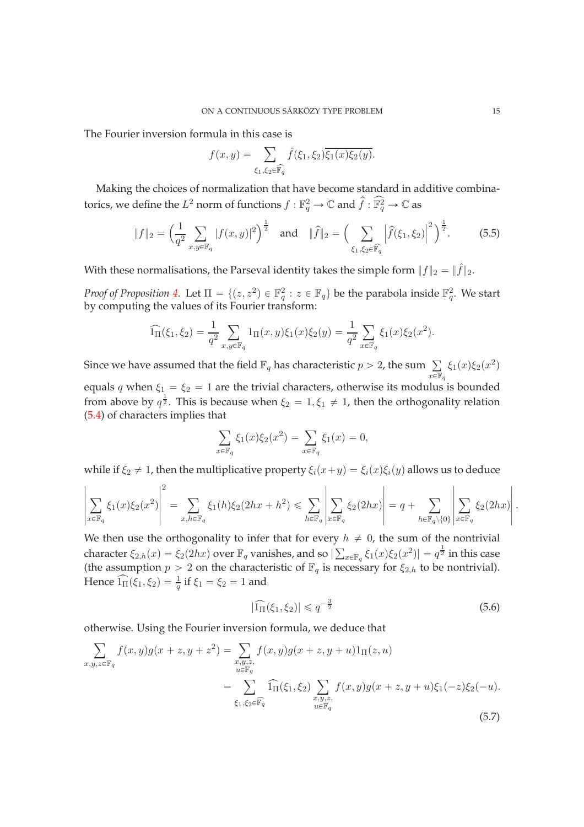The Fourier inversion formula in this case is

<span id="page-14-0"></span>
$$
f(x,y) = \sum_{\xi_1,\xi_2 \in \widehat{\mathbb{F}_q}} \hat{f}(\xi_1,\xi_2) \overline{\xi_1(x)\xi_2(y)}.
$$

Making the choices of normalization that have become standard in additive combinatorics, we define the  $L^2$  norm of functions  $f:\mathbb{F}_q^2\to\mathbb{C}$  and  $\widehat{f}:\widehat{\mathbb{F}}_q^2\to\mathbb{C}$  as

$$
\|f\|_2 = \left(\frac{1}{q^2} \sum_{x,y \in \mathbb{F}_q} |f(x,y)|^2\right)^{\frac{1}{2}} \text{ and } \|\hat{f}\|_2 = \left(\sum_{\xi_1,\xi_2 \in \widehat{\mathbb{F}_q}} \left|\hat{f}(\xi_1,\xi_2)\right|^2\right)^{\frac{1}{2}}.
$$
 (5.5)

With these normalisations, the Parseval identity takes the simple form  $|| f ||_2 = || \hat{f} ||_2$ .

*Proof of Proposition [4.](#page-13-1)* Let  $\Pi = \{(z, z^2) \in \mathbb{F}_q^2 : z \in \mathbb{F}_q\}$  be the parabola inside  $\mathbb{F}_q^2$ . We start by computing the values of its Fourier transform:

$$
\widehat{1}_{\Pi}(\xi_1, \xi_2) = \frac{1}{q^2} \sum_{x, y \in \mathbb{F}_q} 1_{\Pi}(x, y) \xi_1(x) \xi_2(y) = \frac{1}{q^2} \sum_{x \in \mathbb{F}_q} \xi_1(x) \xi_2(x^2).
$$

Since we have assumed that the field  $\mathbb{F}_q$  has characteristic  $p > 2$ , the sum  $\sum_{n=1}^{\infty}$  $x\overline{\in }\mathbb{F}_{q}$  $\xi_1(x)\xi_2(x^2)$ equals q when  $\xi_1 = \xi_2 = 1$  are the trivial characters, otherwise its modulus is bounded

from above by  $q^{\frac{1}{2}}$ . This is because when  $\xi_2 = 1, \xi_1 \neq 1$ , then the orthogonality relation [\(5.4\)](#page-13-2) of characters implies that

$$
\sum_{x \in \mathbb{F}_q} \xi_1(x)\xi_2(x^2) = \sum_{x \in \mathbb{F}_q} \xi_1(x) = 0,
$$

while if  $\xi_2 \neq 1$ , then the multiplicative property  $\xi_i(x+y) = \xi_i(x)\xi_i(y)$  allows us to deduce

$$
\left|\sum_{x\in\mathbb{F}_q}\xi_1(x)\xi_2(x^2)\right|^2=\sum_{x,h\in\mathbb{F}_q}\xi_1(h)\xi_2(2hx+h^2)\leqslant \sum_{h\in\mathbb{F}_q}\left|\sum_{x\in\mathbb{F}_q}\xi_2(2hx)\right|=q+\sum_{h\in\mathbb{F}_q\backslash\{0\}}\left|\sum_{x\in\mathbb{F}_q}\xi_2(2hx)\right|.
$$

We then use the orthogonality to infer that for every  $h \neq 0$ , the sum of the nontrivial character  $\xi_{2,h}(x) = \xi_2(2hx)$  over  $\mathbb{F}_q$  vanishes, and so  $|\sum_{x \in \mathbb{F}_q} \xi_1(x)\xi_2(x^2)| = q^{\frac{1}{2}}$  in this case (the assumption  $p > 2$  on the characteristic of  $\mathbb{F}_q$  is necessary for  $\xi_{2,h}$  to be nontrivial). Hence  $\widehat{1_{\Pi}}(\xi_1, \xi_2) = \frac{1}{q}$  if  $\xi_1 = \xi_2 = 1$  and

<span id="page-14-2"></span><span id="page-14-1"></span>
$$
|\widehat{1}_{\Pi}(\xi_1, \xi_2)| \leqslant q^{-\frac{3}{2}}\tag{5.6}
$$

otherwise. Using the Fourier inversion formula, we deduce that

$$
\sum_{x,y,z \in \mathbb{F}_q} f(x,y)g(x+z,y+z^2) = \sum_{\substack{x,y,z, \\ u \in \mathbb{F}_q}} f(x,y)g(x+z,y+u)1_{\Pi}(z,u)
$$
\n
$$
= \sum_{\substack{\xi_1,\xi_2 \in \mathbb{F}_q}} \widehat{1}_{\Pi}(\xi_1,\xi_2) \sum_{\substack{x,y,z, \\ u \in \mathbb{F}_q}} f(x,y)g(x+z,y+u)\xi_1(-z)\xi_2(-u).
$$
\n(5.7)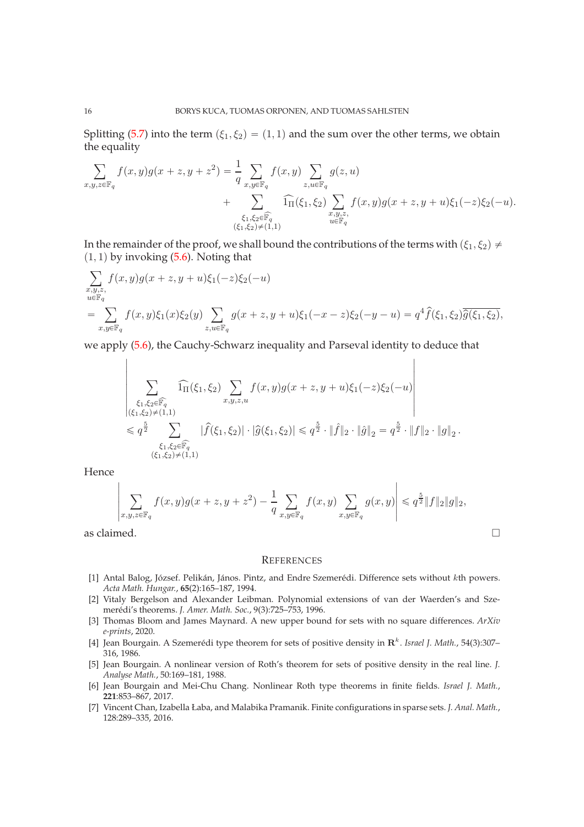Splitting [\(5.7\)](#page-14-1) into the term  $(\xi_1, \xi_2) = (1, 1)$  and the sum over the other terms, we obtain the equality

$$
\sum_{x,y,z \in \mathbb{F}_q} f(x,y)g(x+z,y+z^2) = \frac{1}{q} \sum_{x,y \in \mathbb{F}_q} f(x,y) \sum_{z,u \in \mathbb{F}_q} g(z,u) + \sum_{\substack{\xi_1,\xi_2 \in \widehat{\mathbb{F}_q} \\ (\xi_1,\xi_2) \neq (1,1)}} \widehat{\ln}(\xi_1,\xi_2) \sum_{\substack{x,y,z, \\ u \in \mathbb{F}_q}} f(x,y)g(x+z,y+u)\xi_1(-z)\xi_2(-u).
$$

In the remainder of the proof, we shall bound the contributions of the terms with  $(\xi_1, \xi_2) \neq 0$  $(1, 1)$  by invoking  $(5.6)$ . Noting that

$$
\sum_{\substack{x,y,z, \\ u \in \mathbb{F}_q}} f(x,y)g(x+z,y+u)\xi_1(-z)\xi_2(-u) \n= \sum_{x,y \in \mathbb{F}_q} f(x,y)\xi_1(x)\xi_2(y) \sum_{z,u \in \mathbb{F}_q} g(x+z,y+u)\xi_1(-x-z)\xi_2(-y-u) = q^4 \hat{f}(\xi_1,\xi_2) \overline{\hat{g}(\xi_1,\xi_2)},
$$

 $\mathbf{I}$ 

we apply [\(5.6\)](#page-14-2), the Cauchy-Schwarz inequality and Parseval identity to deduce that

$$
\left|\sum_{\substack{\xi_1,\xi_2\in \widehat{\mathbb{F}_q}\\ (\xi_1,\xi_2)\neq (1,1)\\ \leqslant q^{\frac{5}{2}}}} \widehat{1_{\Pi}}(\xi_1,\xi_2) \sum_{x,y,z,u} f(x,y)g(x+z,y+u)\xi_1(-z)\xi_2(-u) \right|\\ \leqslant q^{\frac{5}{2}}\sum_{\substack{\xi_1,\xi_2\in \widehat{\mathbb{F}_q}\\ (\xi_1,\xi_2)\neq (1,1) }} |\widehat{f}(\xi_1,\xi_2)| \cdot |\widehat{g}(\xi_1,\xi_2)| \leqslant q^{\frac{5}{2}}\cdot \|\widehat{f}\|_2 \cdot \|\widehat{g}\|_2 = q^{\frac{5}{2}}\cdot \|f\|_2 \cdot \|g\|_2\,.
$$

Hence

$$
\left|\sum_{x,y,z\in\mathbb{F}_q} f(x,y)g(x+z,y+z^2) - \frac{1}{q}\sum_{x,y\in\mathbb{F}_q} f(x,y)\sum_{x,y\in\mathbb{F}_q} g(x,y)\right| \leqslant q^{\frac{5}{2}}\|f\|_2\|g\|_2,
$$
as claimed.

### **REFERENCES**

- <span id="page-15-0"></span>[1] Antal Balog, József. Pelikán, János. Pintz, and Endre Szemerédi. Difference sets without kth powers. *Acta Math. Hungar.*, **65**(2):165–187, 1994.
- <span id="page-15-2"></span>[2] Vitaly Bergelson and Alexander Leibman. Polynomial extensions of van der Waerden's and Szemerédi's theorems. *J. Amer. Math. Soc.*, 9(3):725–753, 1996.
- <span id="page-15-1"></span>[3] Thomas Bloom and James Maynard. A new upper bound for sets with no square differences. *ArXiv e-prints*, 2020.
- <span id="page-15-4"></span>[4] Jean Bourgain. A Szemerédi type theorem for sets of positive density in  $\mathbb{R}^k$ . *Israel J. Math.*, 54(3):307– 316, 1986.
- <span id="page-15-5"></span>[5] Jean Bourgain. A nonlinear version of Roth's theorem for sets of positive density in the real line. *J. Analyse Math.*, 50:169–181, 1988.
- <span id="page-15-3"></span>[6] Jean Bourgain and Mei-Chu Chang. Nonlinear Roth type theorems in finite fields. *Israel J. Math.*, **221**:853–867, 2017.
- <span id="page-15-6"></span>[7] Vincent Chan, Izabella Łaba, and Malabika Pramanik. Finite configurations in sparse sets. *J. Anal. Math.*, 128:289–335, 2016.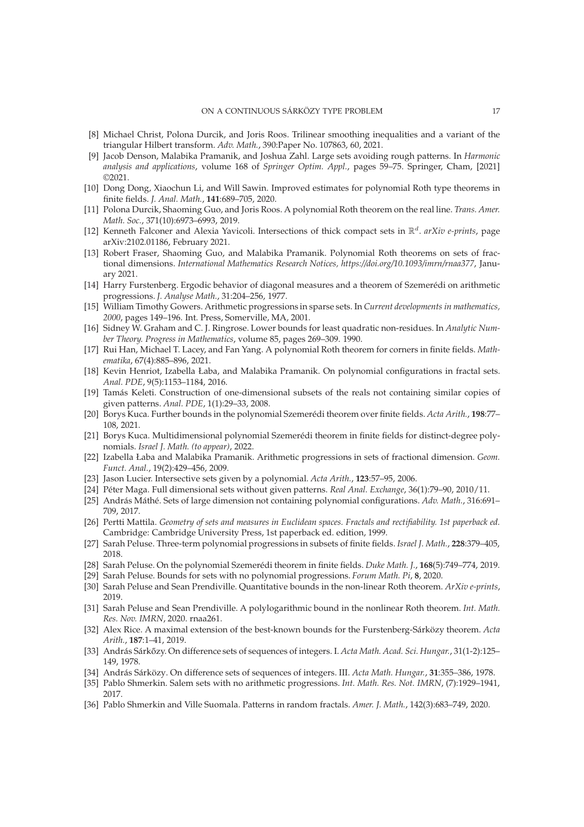- <span id="page-16-21"></span>[8] Michael Christ, Polona Durcik, and Joris Roos. Trilinear smoothing inequalities and a variant of the triangular Hilbert transform. *Adv. Math.*, 390:Paper No. 107863, 60, 2021.
- <span id="page-16-25"></span>[9] Jacob Denson, Malabika Pramanik, and Joshua Zahl. Large sets avoiding rough patterns. In *Harmonic analysis and applications*, volume 168 of *Springer Optim. Appl.*, pages 59–75. Springer, Cham, [2021] ©2021.
- <span id="page-16-6"></span>[10] Dong Dong, Xiaochun Li, and Will Sawin. Improved estimates for polynomial Roth type theorems in finite fields. *J. Anal. Math.*, **141**:689–705, 2020.
- <span id="page-16-16"></span>[11] Polona Durcik, Shaoming Guo, and Joris Roos. A polynomial Roth theorem on the real line. *Trans. Amer. Math. Soc.*, 371(10):6973–6993, 2019.
- <span id="page-16-20"></span>[12] Kenneth Falconer and Alexia Yavicoli. Intersections of thick compact sets in  $\mathbb{R}^d$ . arXiv e-prints, page arXiv:2102.01186, February 2021.
- <span id="page-16-19"></span>[13] Robert Fraser, Shaoming Guo, and Malabika Pramanik. Polynomial Roth theorems on sets of fractional dimensions. *International Mathematics Research Notices, https://doi.org/10.1093/imrn/rnaa377*, January 2021.
- <span id="page-16-0"></span>[14] Harry Furstenberg. Ergodic behavior of diagonal measures and a theorem of Szemerédi on arithmetic progressions. *J. Analyse Math.*, 31:204–256, 1977.
- <span id="page-16-5"></span>[15] William Timothy Gowers. Arithmetic progressions in sparse sets. In *Current developments in mathematics, 2000*, pages 149–196. Int. Press, Somerville, MA, 2001.
- <span id="page-16-15"></span>[16] Sidney W. Graham and C. J. Ringrose. Lower bounds for least quadratic non-residues. In *Analytic Number Theory. Progress in Mathematics*, volume 85, pages 269–309. 1990.
- <span id="page-16-13"></span>[17] Rui Han, Michael T. Lacey, and Fan Yang. A polynomial Roth theorem for corners in finite fields. *Mathematika*, 67(4):885–896, 2021.
- <span id="page-16-18"></span>[18] Kevin Henriot, Izabella Łaba, and Malabika Pramanik. On polynomial configurations in fractal sets. *Anal. PDE*, 9(5):1153–1184, 2016.
- <span id="page-16-22"></span>[19] Tamás Keleti. Construction of one-dimensional subsets of the reals not containing similar copies of given patterns. *Anal. PDE*, 1(1):29–33, 2008.
- <span id="page-16-12"></span>[20] Borys Kuca. Further bounds in the polynomial Szemerédi theorem over finite fields. *Acta Arith.*, **198**:77– 108, 2021.
- <span id="page-16-14"></span>[21] Borys Kuca. Multidimensional polynomial Szemerédi theorem in finite fields for distinct-degree polynomials. *Israel J. Math. (to appear)*, 2022.
- <span id="page-16-17"></span>[22] Izabella Łaba and Malabika Pramanik. Arithmetic progressions in sets of fractional dimension. *Geom. Funct. Anal.*, 19(2):429–456, 2009.
- <span id="page-16-23"></span><span id="page-16-3"></span>[23] Jason Lucier. Intersective sets given by a polynomial. *Acta Arith.*, **123**:57–95, 2006.
- <span id="page-16-24"></span>[24] Péter Maga. Full dimensional sets without given patterns. *Real Anal. Exchange*, 36(1):79–90, 2010/11.
- [25] András Máthé. Sets of large dimension not containing polynomial configurations. *Adv. Math.*, 316:691– 709, 2017.
- <span id="page-16-28"></span>[26] Pertti Mattila. *Geometry of sets and measures in Euclidean spaces. Fractals and rectifiability. 1st paperback ed.* Cambridge: Cambridge University Press, 1st paperback ed. edition, 1999.
- <span id="page-16-7"></span>[27] Sarah Peluse. Three-term polynomial progressions in subsets of finite fields. *Israel J. Math.*, **228**:379–405, 2018.
- <span id="page-16-11"></span><span id="page-16-8"></span>[28] Sarah Peluse. On the polynomial Szemerédi theorem in finite fields. *Duke Math. J.*, **168**(5):749–774, 2019.
- <span id="page-16-9"></span>[29] Sarah Peluse. Bounds for sets with no polynomial progressions. *Forum Math. Pi*, **8**, 2020.
- <span id="page-16-10"></span>[30] Sarah Peluse and Sean Prendiville. Quantitative bounds in the non-linear Roth theorem. *ArXiv e-prints*, 2019.
- [31] Sarah Peluse and Sean Prendiville. A polylogarithmic bound in the nonlinear Roth theorem. *Int. Math. Res. Nov. IMRN*, 2020. rnaa261.
- <span id="page-16-4"></span>[32] Alex Rice. A maximal extension of the best-known bounds for the Furstenberg-Sárközy theorem. *Acta Arith.*, **187**:1–41, 2019.
- <span id="page-16-1"></span>[33] András Sárkőzy. On difference sets of sequences of integers. I. *Acta Math. Acad. Sci. Hungar.*, 31(1-2):125– 149, 1978.
- <span id="page-16-26"></span><span id="page-16-2"></span>[34] András Sárközy. On difference sets of sequences of integers. III. *Acta Math. Hungar.*, **31**:355–386, 1978.
- [35] Pablo Shmerkin. Salem sets with no arithmetic progressions. *Int. Math. Res. Not. IMRN*, (7):1929–1941, 2017.
- <span id="page-16-27"></span>[36] Pablo Shmerkin and Ville Suomala. Patterns in random fractals. *Amer. J. Math.*, 142(3):683–749, 2020.